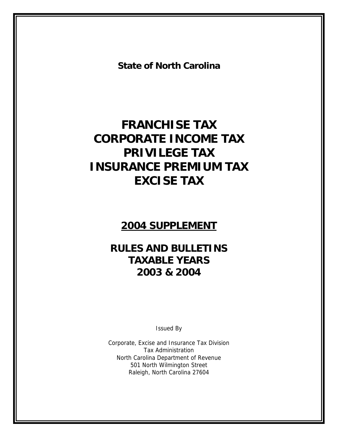**State of North Carolina**

# **FRANCHISE TAX CORPORATE INCOME TAX PRIVILEGE TAX INSURANCE PREMIUM TAX EXCISE TAX**

# **2004 SUPPLEMENT**

# **RULES AND BULLETINS TAXABLE YEARS 2003 & 2004**

Issued By

Corporate, Excise and Insurance Tax Division Tax Administration North Carolina Department of Revenue 501 North Wilmington Street Raleigh, North Carolina 27604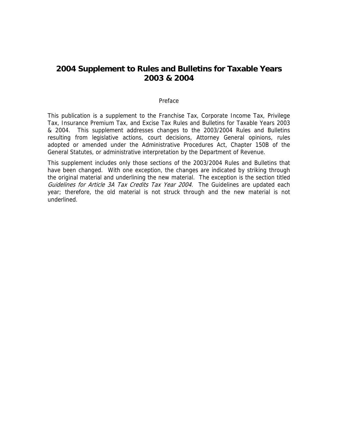## **2004 Supplement to Rules and Bulletins for Taxable Years 2003 & 2004**

#### Preface

This publication is a supplement to the Franchise Tax, Corporate Income Tax, Privilege Tax, Insurance Premium Tax, and Excise Tax Rules and Bulletins for Taxable Years 2003 & 2004. This supplement addresses changes to the 2003/2004 Rules and Bulletins resulting from legislative actions, court decisions, Attorney General opinions, rules adopted or amended under the Administrative Procedures Act, Chapter 150B of the General Statutes, or administrative interpretation by the Department of Revenue.

This supplement includes only those sections of the 2003/2004 Rules and Bulletins that have been changed. With one exception, the changes are indicated by striking through the original material and underlining the new material. The exception is the section titled Guidelines for Article 3A Tax Credits Tax Year 2004. The Guidelines are updated each year; therefore, the old material is not struck through and the new material is not underlined.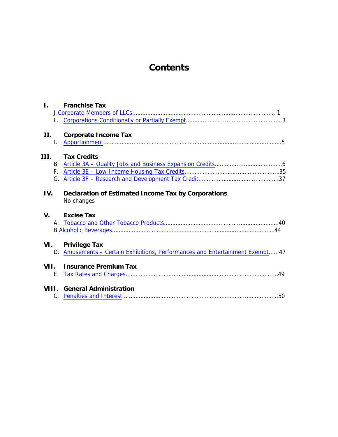# **Contents**

| $\mathbf{L}$ |    | <b>Franchise Tax</b>                                                         |  |
|--------------|----|------------------------------------------------------------------------------|--|
|              |    |                                                                              |  |
|              |    |                                                                              |  |
|              |    |                                                                              |  |
| II.          |    | <b>Corporate Income Tax</b>                                                  |  |
|              | I. |                                                                              |  |
|              |    |                                                                              |  |
|              |    | III. Tax Credits                                                             |  |
|              |    |                                                                              |  |
|              |    |                                                                              |  |
|              |    |                                                                              |  |
|              |    |                                                                              |  |
| IV.          |    | <b>Declaration of Estimated Income Tax by Corporations</b>                   |  |
|              |    | No changes                                                                   |  |
|              |    |                                                                              |  |
| V.           |    | <b>Excise Tax</b>                                                            |  |
|              |    |                                                                              |  |
|              |    |                                                                              |  |
|              |    |                                                                              |  |
|              |    | VI. Privilege Tax                                                            |  |
|              |    | D. Amusements – Certain Exhibitions, Performances and Entertainment Exempt47 |  |
|              |    | VII. Insurance Premium Tax                                                   |  |
|              |    |                                                                              |  |
|              |    |                                                                              |  |
|              |    | <b>VIII.</b> General Administration                                          |  |
|              |    |                                                                              |  |
|              |    |                                                                              |  |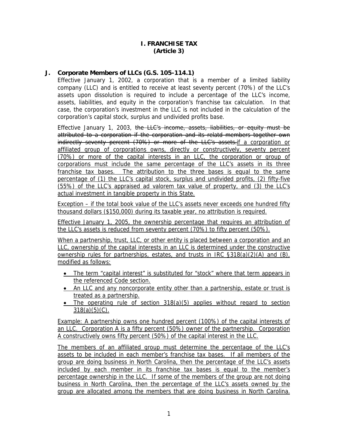#### **I. FRANCHISE TAX (Article 3)**

### <span id="page-3-0"></span>**J. Corporate Members of LLCs (G.S. 105-114.1)**

Effective January 1, 2002, a corporation that is a member of a limited liability company (LLC) and is entitled to receive at least seventy percent (70%) of the LLC's assets upon dissolution is required to include a percentage of the LLC's income, assets, liabilities, and equity in the corporation's franchise tax calculation. In that case, the corporation's investment in the LLC is not included in the calculation of the corporation's capital stock, surplus and undivided profits base.

Effective January 1, 2003, the LLC's income, assets, liabilities, or equity must be attributed to a corporation if the corporation and its relatd members together own indirectly seventy percent (70%) or more of the LLC's assets.if a corporation or affiliated group of corporations owns, directly or constructively, seventy percent (70%) or more of the capital interests in an LLC, the corporation or group of corporations must include the same percentage of the LLC's assets in its three franchise tax bases. The attribution to the three bases is equal to the same percentage of (1) the LLC's capital stock, surplus and undivided profits, (2) fifty-five (55%) of the LLC's appraised ad valorem tax value of property, and (3) the LLC's actual investment in tangible property in this State.

Exception – if the total book value of the LLC's assets never exceeds one hundred fifty thousand dollars (\$150,000) during its taxable year, no attribution is required.

Effective January 1, 2005, the ownership percentage that requires an attribution of the LLC's assets is reduced from seventy percent (70%) to fifty percent (50%).

When a partnership, trust, LLC, or other entity is placed between a corporation and an LLC, ownership of the capital interests in an LLC is determined under the constructive ownership rules for partnerships, estates, and trusts in IRC §318(a)(2)(A) and (B), modified as follows:

- The term "capital interest" is substituted for "stock" where that term appears in the referenced Code section.
- An LLC and any noncorporate entity other than a partnership, estate or trust is treated as a partnership.
- The operating rule of section 318(a)(5) applies without regard to section  $318(a)(5)(C)$ .

Example: A partnership owns one hundred percent (100%) of the capital interests of an LLC. Corporation A is a fifty percent (50%) owner of the partnership. Corporation A constructively owns fifty percent (50%) of the capital interest in the LLC.

The members of an affiliated group must determine the percentage of the LLC's assets to be included in each member's franchise tax bases. If all members of the group are doing business in North Carolina, then the percentage of the LLC's assets included by each member in its franchise tax bases is equal to the member's percentage ownership in the LLC. If some of the members of the group are not doing business in North Carolina, then the percentage of the LLC's assets owned by the group are allocated among the members that are doing business in North Carolina.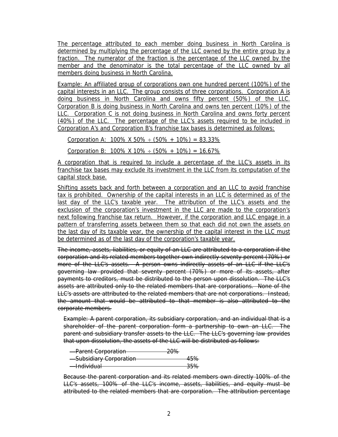The percentage attributed to each member doing business in North Carolina is determined by multiplying the percentage of the LLC owned by the entire group by a fraction. The numerator of the fraction is the percentage of the LLC owned by the member and the denominator is the total percentage of the LLC owned by all members doing business in North Carolina.

Example: An affiliated group of corporations own one hundred percent (100%) of the capital interests in an LLC. The group consists of three corporations. Corporation A is doing business in North Carolina and owns fifty percent (50%) of the LLC. Corporation B is doing business in North Carolina and owns ten percent (10%) of the LLC. Corporation C is not doing business in North Carolina and owns forty percent (40%) of the LLC. The percentage of the LLC's assets required to be included in Corporation A's and Corporation B's franchise tax bases is determined as follows:

Corporation A:  $100\%$  X 50% ÷ (50% + 10%) = 83.33%

Corporation B:  $100\%$  X  $10\% \div (50\% + 10\%) = 16.67\%$ 

A corporation that is required to include a percentage of the LLC's assets in its franchise tax bases may exclude its investment in the LLC from its computation of the capital stock base.

Shifting assets back and forth between a corporation and an LLC to avoid franchise tax is prohibited. Ownership of the capital interests in an LLC is determined as of the last day of the LLC's taxable year. The attribution of the LLC's assets and the exclusion of the corporation's investment in the LLC are made to the corporation's next following franchise tax return. However, if the corporation and LLC engage in a pattern of transferring assets between them so that each did not own the assets on the last day of its taxable year, the ownership of the capital interest in the LLC must be determined as of the last day of the corporation's taxable year.

The income, assets, liabilities, or equity of an LLC are attributed to a corporation if the corporation and its related members together own indirectly seventy percent (70%) or more of the LLC's assets. A person owns indirectly assets of an LLC if the LLC's governing law provided that seventy percent (70%) or more of its assets, after payments to creditors, must be distributed to the person upon dissolution. The LLC's assets are attributed only to the related members that are corporations. None of the LLC's assets are attributed to the related members that are not corporations. Instead, the amount that would be attributed to that member is also attributed to the corporate members.

Example: A parent corporation, its subsidiary corporation, and an individual that is a shareholder of the parent corporation form a partnership to own an LLC. The parent and subsidiary transfer assets to the LLC. The LLC's governing law provides that upon dissolution, the assets of the LLC will be distributed as follows:

| -Parent Corporation     | ∕ס∩ר<br>ZU 70 |
|-------------------------|---------------|
| -Subsidiary Corporation | 150,<br>4970  |
| <del>—Individual</del>  | つにの           |

Because the parent corporation and its related members own directly 100% of the LLC's assets, 100% of the LLC's income, assets, liabilities, and equity must be attributed to the related members that are corporation. The attribution percentage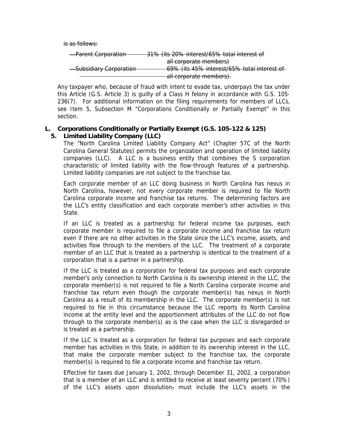<span id="page-5-0"></span>is as follows:

| <del>- Parent Corporation</del> | 31% (its 20% interest/65% total interest of |
|---------------------------------|---------------------------------------------|
|                                 |                                             |
|                                 | all corporate members)                      |
| -Subsidiary Corporation         | 69% (its 45% interest/65% total interest of |
|                                 |                                             |
|                                 | all corporate members).                     |

Any taxpayer who, because of fraud with intent to evade tax, underpays the tax under this Article (G.S. Article 3) is guilty of a Class H felony in accordance with G.S. 105- 236(7). For additional information on the filing requirements for members of LLCs, see Item 5, Subsection M "Corporations Conditionally or Partially Exempt" in this section.

#### **L. Corporations Conditionally or Partially Exempt (G.S. 105-122 & 125) 5. Limited Liability Company (LLC)**

The "North Carolina Limited Liability Company Act" (Chapter 57C of the North Carolina General Statutes) permits the organization and operation of limited liability companies (LLC). A LLC is a business entity that combines the S corporation characteristic of limited liability with the flow-through features of a partnership. Limited liability companies are not subject to the franchise tax.

Each corporate member of an LLC doing business in North Carolina has nexus in North Carolina, however, not every corporate member is required to file North Carolina corporate income and franchise tax returns. The determining factors are the LLC's entity classification and each corporate member's other activities in this State.

If an LLC is treated as a partnership for federal income tax purposes, each corporate member is required to file a corporate income and franchise tax return even if there are no other activities in the State since the LLC's income, assets, and activities flow through to the members of the LLC. The treatment of a corporate member of an LLC that is treated as a partnership is identical to the treatment of a corporation that is a partner in a partnership.

If the LLC is treated as a corporation for federal tax purposes and each corporate member's only connection to North Carolina is its ownership interest in the LLC, the corporate member(s) is not required to file a North Carolina corporate income and franchise tax return even though the corporate member(s) has nexus in North Carolina as a result of its membership in the LLC. The corporate member(s) is not required to file in this circumstance because the LLC reports its North Carolina income at the entity level and the apportionment attributes of the LLC do not flow through to the corporate member(s) as is the case when the LLC is disregarded or is treated as a partnership.

If the LLC is treated as a corporation for federal tax purposes and each corporate member has activities in this State, in addition to its ownership interest in the LLC, that make the corporate member subject to the franchise tax, the corporate member(s) is required to file a corporate income and franchise tax return.

Effective for taxes due January 1, 2002, through December 31, 2002, a corporation that is a member of an LLC and is entitled to receive at least seventy percent (70%) of the LLC's assets upon dissolution<sub>7</sub> must include the LLC's assets in the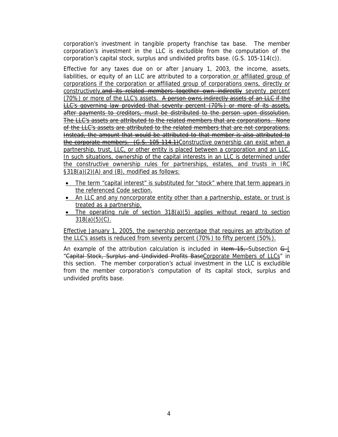corporation's investment in tangible property franchise tax base. The member corporation's investment in the LLC is excludible from the computation of the corporation's capital stock, surplus and undivided profits base. (G.S. 105-114(c)).

Effective for any taxes due on or after January 1, 2003, the income, assets, liabilities, or equity of an LLC are attributed to a corporation or affiliated group of corporations if the corporation or affiliated group of corporations owns, directly or constructively,and its related members together own indirectly seventy percent (70%) or more of the LLC's assets. A person owns indirectly assets of an LLC if the LLC's governing law provided that seventy percent (70%) or more of its assets, after payments to creditors, must be distributed to the person upon dissolution. The LLC's assets are attributed to the related members that are corporations. None of the LLC's assets are attributed to the related members that are not corporations. Instead, the amount that would be attributed to that member is also attributed to the corporate members. (G.S. 105-114.1)Constructive ownership can exist when a partnership, trust, LLC, or other entity is placed between a corporation and an LLC. In such situations, ownership of the capital interests in an LLC is determined under the constructive ownership rules for partnerships, estates, and trusts in IRC §318(a)(2)(A) and (B), modified as follows:

- The term "capital interest" is substituted for "stock" where that term appears in the referenced Code section.
- An LLC and any noncorporate entity other than a partnership, estate, or trust is treated as a partnership.
- The operating rule of section 318(a)(5) applies without regard to section  $318(a)(5)(C)$ .

Effective January 1, 2005, the ownership percentage that requires an attribution of the LLC's assets is reduced from seventy percent (70%) to fifty percent (50%).

An example of the attribution calculation is included in  $H$ em 15, Subsection  $G$ -J "Capital Stock, Surplus and Undivided Profits BaseCorporate Members of LLCs" in this section. The member corporation's actual investment in the LLC is excludible from the member corporation's computation of its capital stock, surplus and undivided profits base.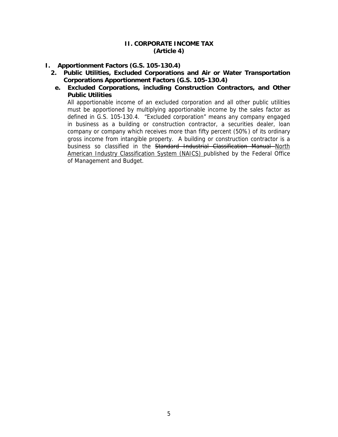### **II. CORPORATE INCOME TAX (Article 4)**

## <span id="page-7-0"></span>**I. Apportionment Factors (G.S. 105-130.4)**

- **2. Public Utilities, Excluded Corporations and Air or Water Transportation Corporations Apportionment Factors (G.S. 105-130.4)** 
	- **e. Excluded Corporations, including Construction Contractors, and Other Public Utilities**

All apportionable income of an excluded corporation and all other public utilities must be apportioned by multiplying apportionable income by the sales factor as defined in G.S. 105-130.4. "Excluded corporation" means any company engaged in business as a building or construction contractor, a securities dealer, loan company or company which receives more than fifty percent (50%) of its ordinary gross income from intangible property. A building or construction contractor is a business so classified in the Standard Industrial Classification Manual North American Industry Classification System (NAICS) published by the Federal Office of Management and Budget.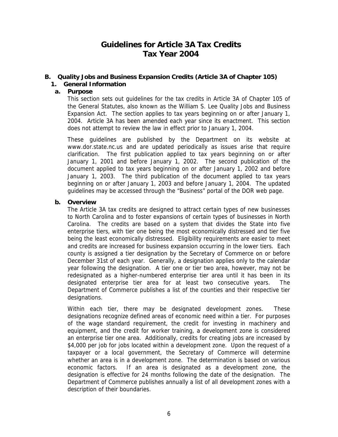## **Guidelines for Article 3A Tax Credits Tax Year 2004**

## <span id="page-8-0"></span>**B. Quality Jobs and Business Expansion Credits (Article 3A of Chapter 105)**

### **1. General Information**

#### **a. Purpose**

This section sets out guidelines for the tax credits in Article 3A of Chapter 105 of the General Statutes, also known as the William S. Lee Quality Jobs and Business Expansion Act. The section applies to tax years beginning on or after January 1, 2004. Article 3A has been amended each year since its enactment. This section does not attempt to review the law in effect prior to January 1, 2004.

These guidelines are published by the Department on its website at www.dor.state.nc.us and are updated periodically as issues arise that require clarification. The first publication applied to tax years beginning on or after January 1, 2001 and before January 1, 2002. The second publication of the document applied to tax years beginning on or after January 1, 2002 and before January 1, 2003. The third publication of the document applied to tax years beginning on or after January 1, 2003 and before January 1, 2004. The updated guidelines may be accessed through the "Business" portal of the DOR web page.

#### **b. Overview**

The Article 3A tax credits are designed to attract certain types of new businesses to North Carolina and to foster expansions of certain types of businesses in North Carolina. The credits are based on a system that divides the State into five enterprise tiers, with tier one being the most economically distressed and tier five being the least economically distressed. Eligibility requirements are easier to meet and credits are increased for business expansion occurring in the lower tiers. Each county is assigned a tier designation by the Secretary of Commerce on or before December 31st of each year. Generally, a designation applies only to the calendar year following the designation. A tier one or tier two area, however, may not be redesignated as a higher-numbered enterprise tier area until it has been in its designated enterprise tier area for at least two consecutive years. The Department of Commerce publishes a list of the counties and their respective tier designations.

Within each tier, there may be designated development zones. These designations recognize defined areas of economic need within a tier. For purposes of the wage standard requirement, the credit for investing in machinery and equipment, and the credit for worker training, a development zone is considered an enterprise tier one area. Additionally, credits for creating jobs are increased by \$4,000 per job for jobs located within a development zone. Upon the request of a taxpayer or a local government, the Secretary of Commerce will determine whether an area is in a development zone. The determination is based on various economic factors. If an area is designated as a development zone, the designation is effective for 24 months following the date of the designation. The Department of Commerce publishes annually a list of all development zones with a description of their boundaries.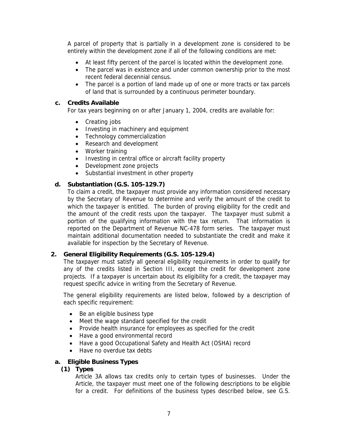A parcel of property that is partially in a development zone is considered to be entirely within the development zone if all of the following conditions are met:

- At least fifty percent of the parcel is located within the development zone.
- The parcel was in existence and under common ownership prior to the most recent federal decennial census.
- The parcel is a portion of land made up of one or more tracts or tax parcels of land that is surrounded by a continuous perimeter boundary.

#### **c. Credits Available**

For tax years beginning on or after January 1, 2004, credits are available for:

- Creating jobs
- Investing in machinery and equipment
- Technology commercialization
- Research and development
- Worker training
- Investing in central office or aircraft facility property
- Development zone projects
- Substantial investment in other property

#### **d. Substantiation (G.S. 105-129.7)**

To claim a credit, the taxpayer must provide any information considered necessary by the Secretary of Revenue to determine and verify the amount of the credit to which the taxpayer is entitled. The burden of proving eligibility for the credit and the amount of the credit rests upon the taxpayer. The taxpayer must submit a portion of the qualifying information with the tax return. That information is reported on the Department of Revenue NC-478 form series. The taxpayer must maintain additional documentation needed to substantiate the credit and make it available for inspection by the Secretary of Revenue.

#### **2. General Eligibility Requirements (G.S. 105-129.4)**

The taxpayer must satisfy all general eligibility requirements in order to qualify for any of the credits listed in Section III, except the credit for development zone projects. If a taxpayer is uncertain about its eligibility for a credit, the taxpayer may request specific advice in writing from the Secretary of Revenue.

The general eligibility requirements are listed below, followed by a description of each specific requirement:

- Be an eligible business type
- Meet the wage standard specified for the credit
- Provide health insurance for employees as specified for the credit
- Have a good environmental record
- Have a good Occupational Safety and Health Act (OSHA) record
- Have no overdue tax debts

#### **a. Eligible Business Types**

#### **(1) Types**

Article 3A allows tax credits only to certain types of businesses. Under the Article, the taxpayer must meet one of the following descriptions to be eligible for a credit. For definitions of the business types described below, see G.S.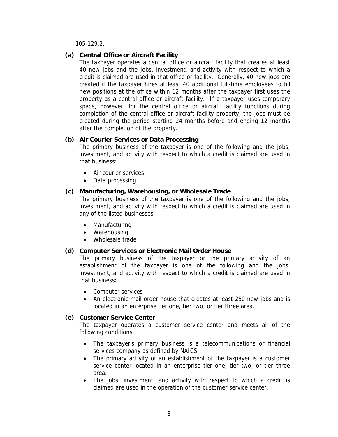105-129.2.

#### **(a) Central Office or Aircraft Facility**

The taxpayer operates a central office or aircraft facility that creates at least 40 new jobs and the jobs, investment, and activity with respect to which a credit is claimed are used in that office or facility. Generally, 40 new jobs are created if the taxpayer hires at least 40 additional full-time employees to fill new positions at the office within 12 months after the taxpayer first uses the property as a central office or aircraft facility. If a taxpayer uses temporary space, however, for the central office or aircraft facility functions during completion of the central office or aircraft facility property, the jobs must be created during the period starting 24 months before and ending 12 months after the completion of the property.

### **(b) Air Courier Services or Data Processing**

The primary business of the taxpayer is one of the following and the jobs, investment, and activity with respect to which a credit is claimed are used in that business:

- Air courier services
- Data processing

### **(c) Manufacturing, Warehousing, or Wholesale Trade**

The primary business of the taxpayer is one of the following and the jobs, investment, and activity with respect to which a credit is claimed are used in any of the listed businesses:

- Manufacturing
- Warehousing
- Wholesale trade

#### **(d) Computer Services or Electronic Mail Order House**

The primary business of the taxpayer or the primary activity of an establishment of the taxpayer is one of the following and the jobs, investment, and activity with respect to which a credit is claimed are used in that business:

- Computer services
- An electronic mail order house that creates at least 250 new jobs and is located in an enterprise tier one, tier two, or tier three area.

#### **(e) Customer Service Center**

The taxpayer operates a customer service center and meets all of the following conditions:

- The taxpayer's primary business is a telecommunications or financial services company as defined by NAICS.
- The primary activity of an establishment of the taxpayer is a customer service center located in an enterprise tier one, tier two, or tier three area.
- The jobs, investment, and activity with respect to which a credit is claimed are used in the operation of the customer service center.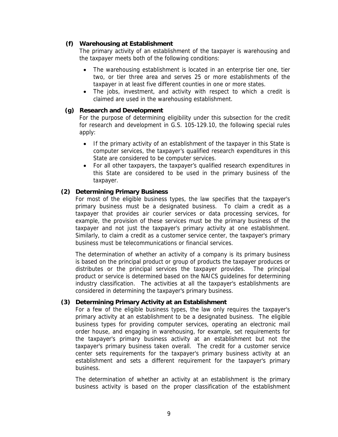### **(f) Warehousing at Establishment**

The primary activity of an establishment of the taxpayer is warehousing and the taxpayer meets both of the following conditions:

- The warehousing establishment is located in an enterprise tier one, tier two, or tier three area and serves 25 or more establishments of the taxpayer in at least five different counties in one or more states.
- The jobs, investment, and activity with respect to which a credit is claimed are used in the warehousing establishment.

#### **(g) Research and Development**

For the purpose of determining eligibility under this subsection for the credit for research and development in G.S. 105-129.10, the following special rules apply:

- If the primary activity of an establishment of the taxpayer in this State is computer services, the taxpayer's qualified research expenditures in this State are considered to be computer services.
- For all other taxpayers, the taxpayer's qualified research expenditures in this State are considered to be used in the primary business of the taxpayer.

#### **(2) Determining Primary Business**

For most of the eligible business types, the law specifies that the taxpayer's primary business must be a designated business. To claim a credit as a taxpayer that provides air courier services or data processing services, for example, the provision of these services must be the primary business of the taxpayer and not just the taxpayer's primary activity at one establishment. Similarly, to claim a credit as a customer service center, the taxpayer's primary business must be telecommunications or financial services.

The determination of whether an activity of a company is its primary business is based on the principal product or group of products the taxpayer produces or distributes or the principal services the taxpayer provides. The principal product or service is determined based on the NAICS guidelines for determining industry classification. The activities at all the taxpayer's establishments are considered in determining the taxpayer's primary business.

#### **(3) Determining Primary Activity at an Establishment**

For a few of the eligible business types, the law only requires the taxpayer's primary activity at an establishment to be a designated business. The eligible business types for providing computer services, operating an electronic mail order house, and engaging in warehousing, for example, set requirements for the taxpayer's primary business activity at an establishment but not the taxpayer's primary business taken overall. The credit for a customer service center sets requirements for the taxpayer's primary business activity at an establishment and sets a different requirement for the taxpayer's primary business.

The determination of whether an activity at an establishment is the primary business activity is based on the proper classification of the establishment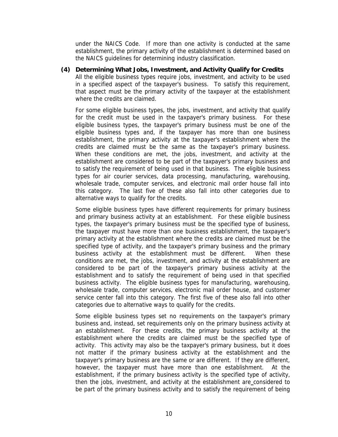under the NAICS Code. If more than one activity is conducted at the same establishment, the primary activity of the establishment is determined based on the NAICS guidelines for determining industry classification.

#### **(4) Determining What Jobs, Investment, and Activity Qualify for Credits**

All the eligible business types require jobs, investment, and activity to be used in a specified aspect of the taxpayer's business. To satisfy this requirement, that aspect must be the primary activity of the taxpayer at the establishment where the credits are claimed.

For some eligible business types, the jobs, investment, and activity that qualify for the credit must be used in the taxpayer's primary business. For these eligible business types, the taxpayer's primary business must be one of the eligible business types and, if the taxpayer has more than one business establishment, the primary activity at the taxpayer's establishment where the credits are claimed must be the same as the taxpayer's primary business. When these conditions are met, the jobs, investment, and activity at the establishment are considered to be part of the taxpayer's primary business and to satisfy the requirement of being used in that business. The eligible business types for air courier services, data processing, manufacturing, warehousing, wholesale trade, computer services, and electronic mail order house fall into this category. The last five of these also fall into other categories due to alternative ways to qualify for the credits.

Some eligible business types have different requirements for primary business and primary business activity at an establishment. For these eligible business types, the taxpayer's primary business must be the specified type of business, the taxpayer must have more than one business establishment, the taxpayer's primary activity at the establishment where the credits are claimed must be the specified type of activity, and the taxpayer's primary business and the primary business activity at the establishment must be different. When these conditions are met, the jobs, investment, and activity at the establishment are considered to be part of the taxpayer's primary business activity at the establishment and to satisfy the requirement of being used in that specified business activity. The eligible business types for manufacturing, warehousing, wholesale trade, computer services, electronic mail order house, and customer service center fall into this category. The first five of these also fall into other categories due to alternative ways to qualify for the credits.

Some eligible business types set no requirements on the taxpayer's primary business and, instead, set requirements only on the primary business activity at an establishment. For these credits, the primary business activity at the establishment where the credits are claimed must be the specified type of activity. This activity may also be the taxpayer's primary business, but it does not matter if the primary business activity at the establishment and the taxpayer's primary business are the same or are different. If they are different, however, the taxpayer must have more than one establishment. At the establishment, if the primary business activity is the specified type of activity, then the jobs, investment, and activity at the establishment are considered to be part of the primary business activity and to satisfy the requirement of being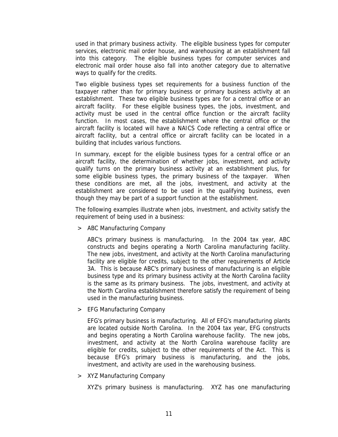used in that primary business activity. The eligible business types for computer services, electronic mail order house, and warehousing at an establishment fall into this category. The eligible business types for computer services and electronic mail order house also fall into another category due to alternative ways to qualify for the credits.

Two eligible business types set requirements for a business function of the taxpayer rather than for primary business or primary business activity at an establishment. These two eligible business types are for a central office or an aircraft facility. For these eligible business types, the jobs, investment, and activity must be used in the central office function or the aircraft facility function. In most cases, the establishment where the central office or the aircraft facility is located will have a NAICS Code reflecting a central office or aircraft facility, but a central office or aircraft facility can be located in a building that includes various functions.

In summary, except for the eligible business types for a central office or an aircraft facility, the determination of whether jobs, investment, and activity qualify turns on the primary business activity at an establishment plus, for some eligible business types, the primary business of the taxpayer. When these conditions are met, all the jobs, investment, and activity at the establishment are considered to be used in the qualifying business, even though they may be part of a support function at the establishment.

The following examples illustrate when jobs, investment, and activity satisfy the requirement of being used in a business:

> ABC Manufacturing Company

ABC's primary business is manufacturing. In the 2004 tax year, ABC constructs and begins operating a North Carolina manufacturing facility. The new jobs, investment, and activity at the North Carolina manufacturing facility are eligible for credits, subject to the other requirements of Article 3A. This is because ABC's primary business of manufacturing is an eligible business type and its primary business activity at the North Carolina facility is the same as its primary business. The jobs, investment, and activity at the North Carolina establishment therefore satisfy the requirement of being used in the manufacturing business.

> EFG Manufacturing Company

EFG's primary business is manufacturing. All of EFG's manufacturing plants are located outside North Carolina. In the 2004 tax year, EFG constructs and begins operating a North Carolina warehouse facility. The new jobs, investment, and activity at the North Carolina warehouse facility are eligible for credits, subject to the other requirements of the Act. This is because EFG's primary business is manufacturing, and the jobs, investment, and activity are used in the warehousing business.

> XYZ Manufacturing Company

XYZ's primary business is manufacturing. XYZ has one manufacturing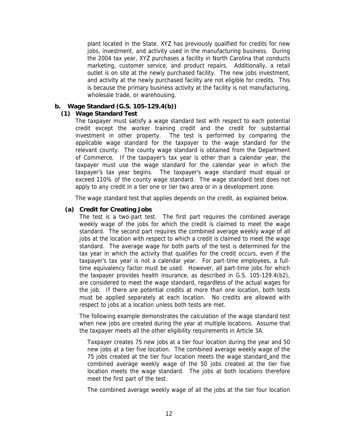plant located in the State. XYZ has previously qualified for credits for new jobs, investment, and activity used in the manufacturing business. During the 2004 tax year, XYZ purchases a facility in North Carolina that conducts marketing, customer service, and product repairs. Additionally, a retail outlet is on site at the newly purchased facility. The new jobs investment, and activity at the newly purchased facility are not eligible for credits. This is because the primary business activity at the facility is not manufacturing, wholesale trade, or warehousing.

#### **b. Wage Standard (G.S. 105-129.4(b))**

#### **(1) Wage Standard Test**

The taxpayer must satisfy a wage standard test with respect to each potential credit except the worker training credit and the credit for substantial investment in other property. The test is performed by comparing the applicable wage standard for the taxpayer to the wage standard for the relevant county. The county wage standard is obtained from the Department of Commerce. If the taxpayer's tax year is other than a calendar year, the taxpayer must use the wage standard for the calendar year in which the taxpayer's tax year begins. The taxpayer's wage standard must equal or exceed 110% of the county wage standard. The wage standard test does not apply to any credit in a tier one or tier two area or in a development zone.

The wage standard test that applies depends on the credit, as explained below.

#### **(a) Credit for Creating Jobs**

The test is a two-part test. The first part requires the combined average weekly wage of the jobs for which the credit is claimed to meet the wage standard. The second part requires the combined average weekly wage of all jobs at the location with respect to which a credit is claimed to meet the wage standard. The average wage for both parts of the test is determined for the tax year in which the activity that qualifies for the credit occurs, even if the taxpayer's tax year is not a calendar year. For part-time employees, a fulltime equivalency factor must be used. However, all part-time jobs for which the taxpayer provides health insurance, as described in G.S. 105-129.4(b2), are considered to meet the wage standard, regardless of the actual wages for the job. If there are potential credits at more than one location, both tests must be applied separately at each location. No credits are allowed with respect to jobs at a location unless both tests are met.

The following example demonstrates the calculation of the wage standard test when new jobs are created during the year at multiple locations. Assume that the taxpayer meets all the other eligibility requirements in Article 3A.

Taxpayer creates 75 new jobs at a tier four location during the year and 50 new jobs at a tier five location. The combined average weekly wage of the 75 jobs created at the tier four location meets the wage standard and the combined average weekly wage of the 50 jobs created at the tier five location meets the wage standard. The jobs at both locations therefore meet the first part of the test.

The combined average weekly wage of all the jobs at the tier four location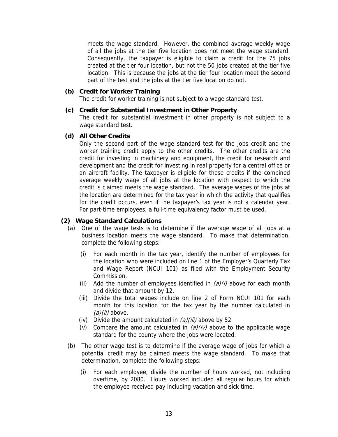meets the wage standard. However, the combined average weekly wage of all the jobs at the tier five location does not meet the wage standard. Consequently, the taxpayer is eligible to claim a credit for the 75 jobs created at the tier four location, but not the 50 jobs created at the tier five location. This is because the jobs at the tier four location meet the second part of the test and the jobs at the tier five location do not.

#### **(b) Credit for Worker Training**

The credit for worker training is not subject to a wage standard test.

#### **(c) Credit for Substantial Investment in Other Property**

The credit for substantial investment in other property is not subject to a wage standard test.

#### **(d) All Other Credits**

Only the second part of the wage standard test for the jobs credit and the worker training credit apply to the other credits. The other credits are the credit for investing in machinery and equipment, the credit for research and development and the credit for investing in real property for a central office or an aircraft facility. The taxpayer is eligible for these credits if the combined average weekly wage of all jobs at the location with respect to which the credit is claimed meets the wage standard. The average wages of the jobs at the location are determined for the tax year in which the activity that qualifies for the credit occurs, even if the taxpayer's tax year is not a calendar year. For part-time employees, a full-time equivalency factor must be used.

#### **(2) Wage Standard Calculations**

- (a) One of the wage tests is to determine if the average wage of all jobs at a business location meets the wage standard. To make that determination, complete the following steps:
	- (i) For each month in the tax year, identify the number of employees for the location who were included on line 1 of the Employer's Quarterly Tax and Wage Report (NCUI 101) as filed with the Employment Security Commission.
	- (ii) Add the number of employees identified in  $(a)(i)$  above for each month and divide that amount by 12.
	- (iii) Divide the total wages include on line 2 of Form NCUI 101 for each month for this location for the tax year by the number calculated in  $(a)(ii)$  above.
	- (iv) Divide the amount calculated in  $(a)(iii)$  above by 52.
	- (v) Compare the amount calculated in  $(a)/(iv)$  above to the applicable wage standard for the county where the jobs were located.
- (b) The other wage test is to determine if the average wage of jobs for which a potential credit may be claimed meets the wage standard. To make that determination, complete the following steps:
	- (i) For each employee, divide the number of hours worked, not including overtime, by 2080. Hours worked included all regular hours for which the employee received pay including vacation and sick time.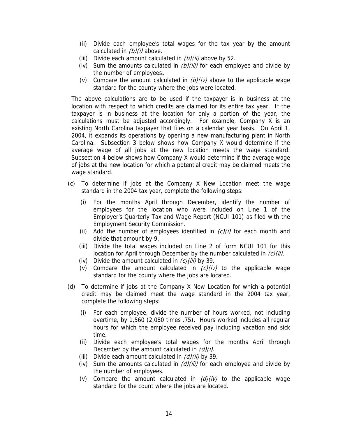- (ii) Divide each employee's total wages for the tax year by the amount calculated in  $(b)(i)$  above.
- (iii) Divide each amount calculated in  $(b)/(ii)$  above by 52.
- (iv) Sum the amounts calculated in  $(b)/(iii)$  for each employee and divide by the number of employees**.**
- (v) Compare the amount calculated in  $(b)/(iv)$  above to the applicable wage standard for the county where the jobs were located.

The above calculations are to be used if the taxpayer is in business at the location with respect to which credits are claimed for its entire tax year. If the taxpayer is in business at the location for only a portion of the year, the calculations must be adjusted accordingly. For example, Company X is an existing North Carolina taxpayer that files on a calendar year basis. On April 1, 2004, it expands its operations by opening a new manufacturing plant in North Carolina. Subsection 3 below shows how Company X would determine if the average wage of all jobs at the new location meets the wage standard. Subsection 4 below shows how Company X would determine if the average wage of jobs at the new location for which a potential credit may be claimed meets the wage standard.

- (c) To determine if jobs at the Company X New Location meet the wage standard in the 2004 tax year, complete the following steps:
	- (i) For the months April through December, identify the number of employees for the location who were included on Line 1 of the Employer's Quarterly Tax and Wage Report (NCUI 101) as filed with the Employment Security Commission.
	- (ii) Add the number of employees identified in  $(c)/(i)$  for each month and divide that amount by 9.
	- (iii) Divide the total wages included on Line 2 of form NCUI 101 for this location for April through December by the number calculated in  $(c)(ii)$ .
	- (iv) Divide the amount calculated in  $(c)(iii)$  by 39.
	- (v) Compare the amount calculated in  $(c)(iv)$  to the applicable wage standard for the county where the jobs are located.
- (d) To determine if jobs at the Company X New Location for which a potential credit may be claimed meet the wage standard in the 2004 tax year, complete the following steps:
	- (i) For each employee, divide the number of hours worked, not including overtime, by 1,560 (2,080 times .75). Hours worked includes all regular hours for which the employee received pay including vacation and sick time.
	- (ii) Divide each employee's total wages for the months April through December by the amount calculated in  $(d)(i)$ .
	- (iii) Divide each amount calculated in  $(d)(ii)$  by 39.
	- (iv) Sum the amounts calculated in  $(d)(iii)$  for each employee and divide by the number of employees.
	- (v) Compare the amount calculated in  $(d)(iv)$  to the applicable wage standard for the count where the jobs are located.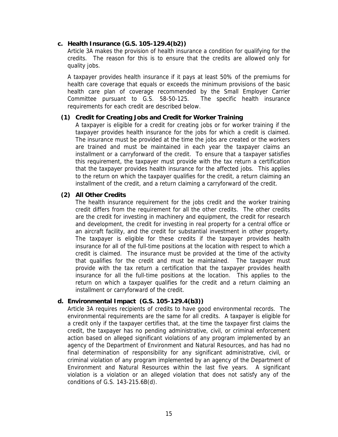#### **c. Health Insurance (G.S. 105-129.4(b2))**

Article 3A makes the provision of health insurance a condition for qualifying for the credits. The reason for this is to ensure that the credits are allowed only for quality jobs.

A taxpayer provides health insurance if it pays at least 50% of the premiums for health care coverage that equals or exceeds the minimum provisions of the basic health care plan of coverage recommended by the Small Employer Carrier Committee pursuant to G.S. 58-50-125. The specific health insurance requirements for each credit are described below.

#### **(1) Credit for Creating Jobs and Credit for Worker Training**

A taxpayer is eligible for a credit for creating jobs or for worker training if the taxpayer provides health insurance for the jobs for which a credit is claimed. The insurance must be provided at the time the jobs are created or the workers are trained and must be maintained in each year the taxpayer claims an installment or a carryforward of the credit. To ensure that a taxpayer satisfies this requirement, the taxpayer must provide with the tax return a certification that the taxpayer provides health insurance for the affected jobs. This applies to the return on which the taxpayer qualifies for the credit, a return claiming an installment of the credit, and a return claiming a carryforward of the credit.

#### **(2) All Other Credits**

The health insurance requirement for the jobs credit and the worker training credit differs from the requirement for all the other credits. The other credits are the credit for investing in machinery and equipment, the credit for research and development, the credit for investing in real property for a central office or an aircraft facility, and the credit for substantial investment in other property. The taxpayer is eligible for these credits if the taxpayer provides health insurance for all of the full-time positions at the location with respect to which a credit is claimed. The insurance must be provided at the time of the activity that qualifies for the credit and must be maintained. The taxpayer must provide with the tax return a certification that the taxpayer provides health insurance for all the full-time positions at the location. This applies to the return on which a taxpayer qualifies for the credit and a return claiming an installment or carryforward of the credit.

#### **d. Environmental Impact (G.S. 105-129.4(b3))**

Article 3A requires recipients of credits to have good environmental records. The environmental requirements are the same for all credits. A taxpayer is eligible for a credit only if the taxpayer certifies that, at the time the taxpayer first claims the credit, the taxpayer has no pending administrative, civil, or criminal enforcement action based on alleged significant violations of any program implemented by an agency of the Department of Environment and Natural Resources, and has had no final determination of responsibility for any significant administrative, civil, or criminal violation of any program implemented by an agency of the Department of Environment and Natural Resources within the last five years. A significant violation is a violation or an alleged violation that does not satisfy any of the conditions of G.S. 143-215.6B(d).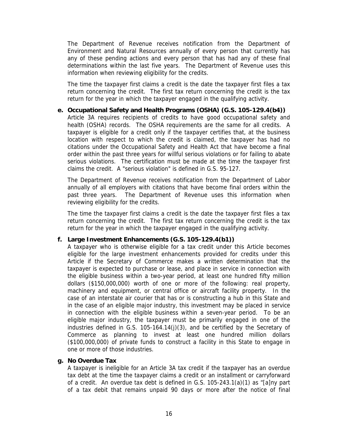The Department of Revenue receives notification from the Department of Environment and Natural Resources annually of every person that currently has any of these pending actions and every person that has had any of these final determinations within the last five years. The Department of Revenue uses this information when reviewing eligibility for the credits.

The time the taxpayer first claims a credit is the date the taxpayer first files a tax return concerning the credit. The first tax return concerning the credit is the tax return for the year in which the taxpayer engaged in the qualifying activity.

## **e. Occupational Safety and Health Programs (OSHA) (G.S. 105-129.4(b4))**

Article 3A requires recipients of credits to have good occupational safety and health (OSHA) records. The OSHA requirements are the same for all credits. A taxpayer is eligible for a credit only if the taxpayer certifies that, at the business location with respect to which the credit is claimed, the taxpayer has had no citations under the Occupational Safety and Health Act that have become a final order within the past three years for willful serious violations or for failing to abate serious violations. The certification must be made at the time the taxpayer first claims the credit. A "serious violation" is defined in G.S. 95-127.

The Department of Revenue receives notification from the Department of Labor annually of all employers with citations that have become final orders within the past three years. The Department of Revenue uses this information when reviewing eligibility for the credits.

The time the taxpayer first claims a credit is the date the taxpayer first files a tax return concerning the credit. The first tax return concerning the credit is the tax return for the year in which the taxpayer engaged in the qualifying activity.

#### **f. Large Investment Enhancements (G.S. 105-129.4(b1))**

A taxpayer who is otherwise eligible for a tax credit under this Article becomes eligible for the large investment enhancements provided for credits under this Article if the Secretary of Commerce makes a written determination that the taxpayer is expected to purchase or lease, and place in service in connection with the eligible business within a two-year period, at least one hundred fifty million dollars (\$150,000,000) worth of one or more of the following: real property, machinery and equipment, or central office or aircraft facility property. In the case of an interstate air courier that has or is constructing a hub in this State and in the case of an eligible major industry, this investment may be placed in service in connection with the eligible business within a seven-year period. To be an eligible major industry, the taxpayer must be primarily engaged in one of the industries defined in G.S. 105-164.14(j)(3), and be certified by the Secretary of Commerce as planning to invest at least one hundred million dollars (\$100,000,000) of private funds to construct a facility in this State to engage in one or more of those industries.

#### **g. No Overdue Tax**

A taxpayer is ineligible for an Article 3A tax credit if the taxpayer has an overdue tax debt at the time the taxpayer claims a credit or an installment or carryforward of a credit. An overdue tax debt is defined in G.S. 105-243.1(a)(1) as "[a]ny part of a tax debit that remains unpaid 90 days or more after the notice of final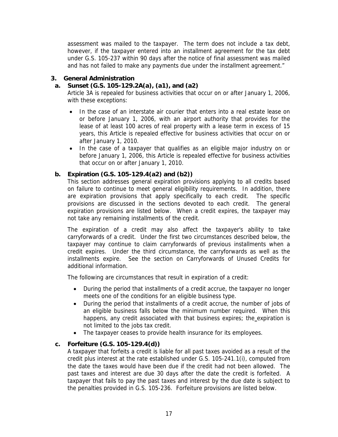assessment was mailed to the taxpayer. The term does not include a tax debt, however, if the taxpayer entered into an installment agreement for the tax debt under G.S. 105-237 within 90 days after the notice of final assessment was mailed and has not failed to make any payments due under the installment agreement."

#### **3. General Administration**

## **a. Sunset (G.S. 105-129.2A(a), (a1), and (a2)**

Article 3A is repealed for business activities that occur on or after January 1, 2006, with these exceptions:

- In the case of an interstate air courier that enters into a real estate lease on or before January 1, 2006, with an airport authority that provides for the lease of at least 100 acres of real property with a lease term in excess of 15 years, this Article is repealed effective for business activities that occur on or after January 1, 2010.
- In the case of a taxpayer that qualifies as an eligible major industry on or before January 1, 2006, this Article is repealed effective for business activities that occur on or after January 1, 2010.

### **b. Expiration (G.S. 105-129.4(a2) and (b2))**

This section addresses general expiration provisions applying to all credits based on failure to continue to meet general eligibility requirements. In addition, there are expiration provisions that apply specifically to each credit. The specific provisions are discussed in the sections devoted to each credit. The general expiration provisions are listed below. When a credit expires, the taxpayer may not take any remaining installments of the credit.

The expiration of a credit may also affect the taxpayer's ability to take carryforwards of a credit. Under the first two circumstances described below, the taxpayer may continue to claim carryforwards of previous installments when a credit expires. Under the third circumstance, the carryforwards as well as the installments expire. See the section on Carryforwards of Unused Credits for additional information.

The following are circumstances that result in expiration of a credit:

- During the period that installments of a credit accrue, the taxpayer no longer meets one of the conditions for an eligible business type.
- During the period that installments of a credit accrue, the number of jobs of an eligible business falls below the minimum number required. When this happens, any credit associated with that business expires; the expiration is not limited to the jobs tax credit.
- The taxpayer ceases to provide health insurance for its employees.

#### **c. Forfeiture (G.S. 105-129.4(d))**

A taxpayer that forfeits a credit is liable for all past taxes avoided as a result of the credit plus interest at the rate established under G.S. 105-241.1(i), computed from the date the taxes would have been due if the credit had not been allowed. The past taxes and interest are due 30 days after the date the credit is forfeited. A taxpayer that fails to pay the past taxes and interest by the due date is subject to the penalties provided in G.S. 105-236. Forfeiture provisions are listed below.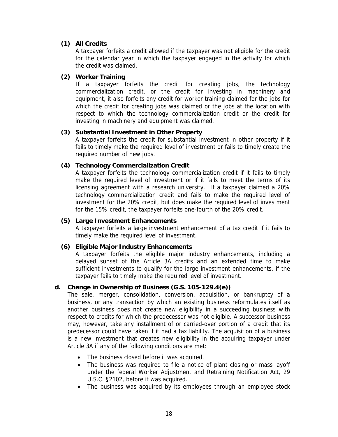## **(1) All Credits**

A taxpayer forfeits a credit allowed if the taxpayer was not eligible for the credit for the calendar year in which the taxpayer engaged in the activity for which the credit was claimed.

#### **(2) Worker Training**

If a taxpayer forfeits the credit for creating jobs, the technology commercialization credit, or the credit for investing in machinery and equipment, it also forfeits any credit for worker training claimed for the jobs for which the credit for creating jobs was claimed or the jobs at the location with respect to which the technology commercialization credit or the credit for investing in machinery and equipment was claimed.

### **(3) Substantial Investment in Other Property**

A taxpayer forfeits the credit for substantial investment in other property if it fails to timely make the required level of investment or fails to timely create the required number of new jobs.

### **(4) Technology Commercialization Credit**

A taxpayer forfeits the technology commercialization credit if it fails to timely make the required level of investment or if it fails to meet the terms of its licensing agreement with a research university. If a taxpayer claimed a 20% technology commercialization credit and fails to make the required level of investment for the 20% credit, but does make the required level of investment for the 15% credit, the taxpayer forfeits one-fourth of the 20% credit.

#### **(5) Large Investment Enhancements**

A taxpayer forfeits a large investment enhancement of a tax credit if it fails to timely make the required level of investment.

#### **(6) Eligible Major Industry Enhancements**

A taxpayer forfeits the eligible major industry enhancements, including a delayed sunset of the Article 3A credits and an extended time to make sufficient investments to qualify for the large investment enhancements, if the taxpayer fails to timely make the required level of investment.

#### **d. Change in Ownership of Business (G.S. 105-129.4(e))**

The sale, merger, consolidation, conversion, acquisition, or bankruptcy of a business, or any transaction by which an existing business reformulates itself as another business does not create new eligibility in a succeeding business with respect to credits for which the predecessor was not eligible. A successor business may, however, take any installment of or carried-over portion of a credit that its predecessor could have taken if it had a tax liability. The acquisition of a business is a new investment that creates new eligibility in the acquiring taxpayer under Article 3A if any of the following conditions are met:

- The business closed before it was acquired.
- The business was required to file a notice of plant closing or mass layoff under the federal Worker Adjustment and Retraining Notification Act, 29 U.S.C. §2102, before it was acquired.
- The business was acquired by its employees through an employee stock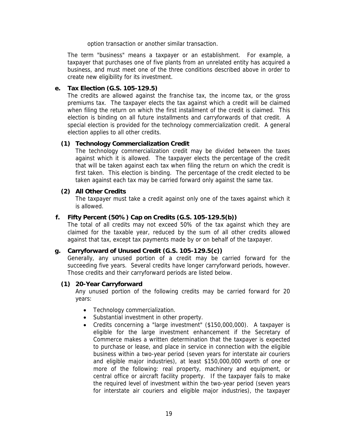option transaction or another similar transaction.

The term "business" means a taxpayer or an establishment. For example, a taxpayer that purchases one of five plants from an unrelated entity has acquired a business, and must meet one of the three conditions described above in order to create new eligibility for its investment.

#### **e. Tax Election (G.S. 105-129.5)**

The credits are allowed against the franchise tax, the income tax, or the gross premiums tax. The taxpayer elects the tax against which a credit will be claimed when filing the return on which the first installment of the credit is claimed. This election is binding on all future installments and carryforwards of that credit. A special election is provided for the technology commercialization credit. A general election applies to all other credits.

#### **(1) Technology Commercialization Credit**

The technology commercialization credit may be divided between the taxes against which it is allowed. The taxpayer elects the percentage of the credit that will be taken against each tax when filing the return on which the credit is first taken. This election is binding. The percentage of the credit elected to be taken against each tax may be carried forward only against the same tax.

#### **(2) All Other Credits**

The taxpayer must take a credit against only one of the taxes against which it is allowed.

#### **f. Fifty Percent (50%) Cap on Credits (G.S. 105-129.5(b))**

The total of all credits may not exceed 50% of the tax against which they are claimed for the taxable year, reduced by the sum of all other credits allowed against that tax, except tax payments made by or on behalf of the taxpayer.

#### **g. Carryforward of Unused Credit (G.S. 105-129.5(c))**

Generally, any unused portion of a credit may be carried forward for the succeeding five years. Several credits have longer carryforward periods, however. Those credits and their carryforward periods are listed below.

#### **(1) 20-Year Carryforward**

Any unused portion of the following credits may be carried forward for 20 years:

- Technology commercialization.
- Substantial investment in other property.
- Credits concerning a "large investment" (\$150,000,000). A taxpayer is eligible for the large investment enhancement if the Secretary of Commerce makes a written determination that the taxpayer is expected to purchase or lease, and place in service in connection with the eligible business within a two-year period (seven years for interstate air couriers and eligible major industries), at least \$150,000,000 worth of one or more of the following: real property, machinery and equipment, or central office or aircraft facility property. If the taxpayer fails to make the required level of investment within the two-year period (seven years for interstate air couriers and eligible major industries), the taxpayer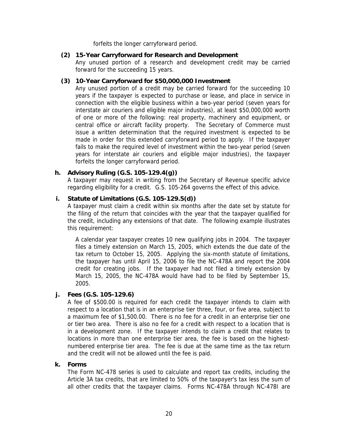forfeits the longer carryforward period.

#### **(2) 15-Year Carryforward for Research and Development**

Any unused portion of a research and development credit may be carried forward for the succeeding 15 years.

#### **(3) 10-Year Carryforward for \$50,000,000 Investment**

Any unused portion of a credit may be carried forward for the succeeding 10 years if the taxpayer is expected to purchase or lease, and place in service in connection with the eligible business within a two-year period (seven years for interstate air couriers and eligible major industries), at least \$50,000,000 worth of one or more of the following: real property, machinery and equipment, or central office or aircraft facility property. The Secretary of Commerce must issue a written determination that the required investment is expected to be made in order for this extended carryforward period to apply. If the taxpayer fails to make the required level of investment within the two-year period (seven years for interstate air couriers and eligible major industries), the taxpayer forfeits the longer carryforward period.

## **h. Advisory Ruling (G.S. 105-129.4(g))**

A taxpayer may request in writing from the Secretary of Revenue specific advice regarding eligibility for a credit. G.S. 105-264 governs the effect of this advice.

## **i. Statute of Limitations (G.S. 105-129.5(d))**

A taxpayer must claim a credit within six months after the date set by statute for the filing of the return that coincides with the year that the taxpayer qualified for the credit, including any extensions of that date. The following example illustrates this requirement:

A calendar year taxpayer creates 10 new qualifying jobs in 2004. The taxpayer files a timely extension on March 15, 2005, which extends the due date of the tax return to October 15, 2005. Applying the six-month statute of limitations, the taxpayer has until April 15, 2006 to file the NC-478A and report the 2004 credit for creating jobs. If the taxpayer had not filed a timely extension by March 15, 2005, the NC-478A would have had to be filed by September 15, 2005.

#### **j. Fees (G.S. 105-129.6)**

A fee of \$500.00 is required for each credit the taxpayer intends to claim with respect to a location that is in an enterprise tier three, four, or five area, subject to a maximum fee of \$1,500.00. There is no fee for a credit in an enterprise tier one or tier two area. There is also no fee for a credit with respect to a location that is in a development zone. If the taxpayer intends to claim a credit that relates to locations in more than one enterprise tier area, the fee is based on the highestnumbered enterprise tier area. The fee is due at the same time as the tax return and the credit will not be allowed until the fee is paid.

#### **k. Forms**

The Form NC-478 series is used to calculate and report tax credits, including the Article 3A tax credits, that are limited to 50% of the taxpayer's tax less the sum of all other credits that the taxpayer claims. Forms NC-478A through NC-478I are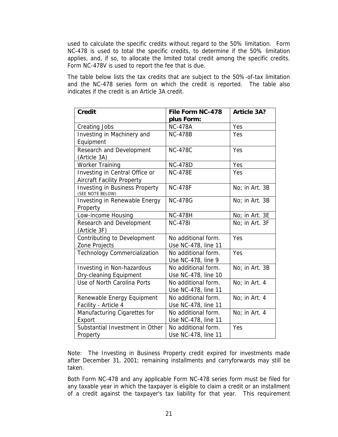used to calculate the specific credits without regard to the 50% limitation. Form NC-478 is used to total the specific credits, to determine if the 50% limitation applies, and, if so, to allocate the limited total credit among the specific credits. Form NC-478V is used to report the fee that is due.

The table below lists the tax credits that are subject to the 50%-of-tax limitation and the NC-478 series form on which the credit is reported. The table also indicates if the credit is an Article 3A credit.

| <b>Credit</b>                                             | File Form NC-478    | <b>Article 3A?</b> |
|-----------------------------------------------------------|---------------------|--------------------|
|                                                           | plus Form:          |                    |
| Creating Jobs                                             | <b>NC-478A</b>      | Yes                |
| Investing in Machinery and                                | <b>NC-478B</b>      | Yes                |
| Equipment                                                 |                     |                    |
| Research and Development                                  | <b>NC-478C</b>      | Yes                |
| (Article 3A)                                              |                     |                    |
| <b>Worker Training</b>                                    | <b>NC-478D</b>      | Yes                |
| Investing in Central Office or                            | <b>NC-478E</b>      | Yes                |
| <b>Aircraft Facility Property</b>                         |                     |                    |
| <b>Investing in Business Property</b><br>(SEE NOTE BELOW) | <b>NC-478F</b>      | No; in Art. 3B     |
| Investing in Renewable Energy                             | <b>NC-478G</b>      | No; in Art. 3B     |
| Property                                                  |                     |                    |
| Low-income Housing                                        | <b>NC-478H</b>      | No; in Art. 3E     |
| Research and Development                                  | <b>NC-4781</b>      | No; in Art. 3F     |
| (Article 3F)                                              |                     |                    |
| Contributing to Development                               | No additional form. | Yes                |
| Zone Projects                                             | Use NC-478, line 11 |                    |
| <b>Technology Commercialization</b>                       | No additional form. | Yes                |
|                                                           | Use NC-478, line 9  |                    |
| Investing in Non-hazardous                                | No additional form. | No; in Art. 3B     |
| Dry-cleaning Equipment                                    | Use NC-478, line 10 |                    |
| Use of North Carolina Ports                               | No additional form. | No; in Art. 4      |
|                                                           | Use NC-478, line 11 |                    |
| Renewable Energy Equipment                                | No additional form. | No; in Art. 4      |
| Facility - Article 4                                      | Use NC-478, line 11 |                    |
| Manufacturing Cigarettes for                              | No additional form. | No; in Art. 4      |
| Export                                                    | Use NC-478, line 11 |                    |
| Substantial Investment in Other                           | No additional form. | Yes                |
| Property                                                  | Use NC-478, line 11 |                    |

Note: The Investing in Business Property credit expired for investments made after December 31, 2001; remaining installments and carryforwards may still be taken.

Both Form NC-478 and any applicable Form NC-478 series form must be filed for any taxable year in which the taxpayer is eligible to claim a credit or an installment of a credit against the taxpayer's tax liability for that year. This requirement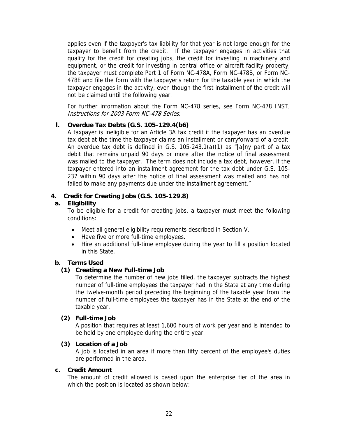applies even if the taxpayer's tax liability for that year is not large enough for the taxpayer to benefit from the credit. If the taxpayer engages in activities that qualify for the credit for creating jobs, the credit for investing in machinery and equipment, or the credit for investing in central office or aircraft facility property, the taxpayer must complete Part 1 of Form NC-478A, Form NC-478B, or Form NC-478E and file the form with the taxpayer's return for the taxable year in which the taxpayer engages in the activity, even though the first installment of the credit will not be claimed until the following year.

For further information about the Form NC-478 series, see Form NC-478 INST, Instructions for 2003 Form NC-478 Series.

#### **l. Overdue Tax Debts (G.S. 105-129.4(b6)**

A taxpayer is ineligible for an Article 3A tax credit if the taxpayer has an overdue tax debt at the time the taxpayer claims an installment or carryforward of a credit. An overdue tax debt is defined in G.S. 105-243.1(a)(1) as "[a]ny part of a tax debit that remains unpaid 90 days or more after the notice of final assessment was mailed to the taxpayer. The term does not include a tax debt, however, if the taxpayer entered into an installment agreement for the tax debt under G.S. 105- 237 within 90 days after the notice of final assessment was mailed and has not failed to make any payments due under the installment agreement."

### **4. Credit for Creating Jobs (G.S. 105-129.8)**

### **a. Eligibility**

To be eligible for a credit for creating jobs, a taxpayer must meet the following conditions:

- Meet all general eligibility requirements described in Section V.
- Have five or more full-time employees.
- Hire an additional full-time employee during the year to fill a position located in this State.

## **b. Terms Used**

#### **(1) Creating a New Full-time Job**

To determine the number of new jobs filled, the taxpayer subtracts the highest number of full-time employees the taxpayer had in the State at any time during the twelve-month period preceding the beginning of the taxable year from the number of full-time employees the taxpayer has in the State at the end of the taxable year.

#### **(2) Full-time Job**

A position that requires at least 1,600 hours of work per year and is intended to be held by one employee during the entire year.

#### **(3) Location of a Job**

A job is located in an area if more than fifty percent of the employee's duties are performed in the area.

#### **c. Credit Amount**

The amount of credit allowed is based upon the enterprise tier of the area in which the position is located as shown below: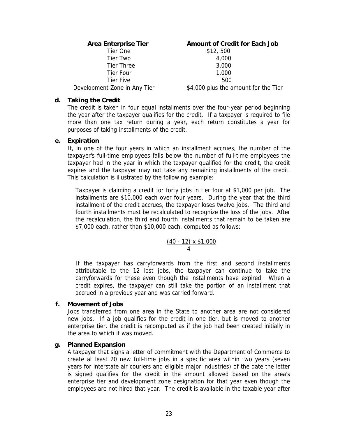| <b>Area Enterprise Tier</b>  | <b>Amount of Credit for Each Job</b> |
|------------------------------|--------------------------------------|
| Tier One                     | \$12, 500                            |
| Tier Two                     | 4,000                                |
| <b>Tier Three</b>            | 3,000                                |
| Tier Four                    | 1,000                                |
| Tier Five                    | 500                                  |
| Development Zone in Any Tier | \$4,000 plus the amount for the Tier |

#### **d. Taking the Credit**

The credit is taken in four equal installments over the four-year period beginning the year after the taxpayer qualifies for the credit. If a taxpayer is required to file more than one tax return during a year, each return constitutes a year for purposes of taking installments of the credit.

#### **e. Expiration**

If, in one of the four years in which an installment accrues, the number of the taxpayer's full-time employees falls below the number of full-time employees the taxpayer had in the year in which the taxpayer qualified for the credit, the credit expires and the taxpayer may not take any remaining installments of the credit. This calculation is illustrated by the following example:

Taxpayer is claiming a credit for forty jobs in tier four at \$1,000 per job. The installments are \$10,000 each over four years. During the year that the third installment of the credit accrues, the taxpayer loses twelve jobs. The third and fourth installments must be recalculated to recognize the loss of the jobs. After the recalculation, the third and fourth installments that remain to be taken are \$7,000 each, rather than \$10,000 each, computed as follows:

$$
\frac{(40-12) \times \$1,000}{4}
$$

If the taxpayer has carryforwards from the first and second installments attributable to the 12 lost jobs, the taxpayer can continue to take the carryforwards for these even though the installments have expired. When a credit expires, the taxpayer can still take the portion of an installment that accrued in a previous year and was carried forward.

#### **f. Movement of Jobs**

Jobs transferred from one area in the State to another area are not considered new jobs. If a job qualifies for the credit in one tier, but is moved to another enterprise tier, the credit is recomputed as if the job had been created initially in the area to which it was moved.

#### **g. Planned Expansion**

A taxpayer that signs a letter of commitment with the Department of Commerce to create at least 20 new full-time jobs in a specific area within two years (seven years for interstate air couriers and eligible major industries) of the date the letter is signed qualifies for the credit in the amount allowed based on the area's enterprise tier and development zone designation for that year even though the employees are not hired that year. The credit is available in the taxable year after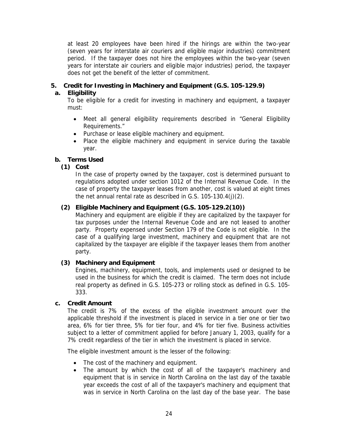at least 20 employees have been hired if the hirings are within the two-year (seven years for interstate air couriers and eligible major industries) commitment period. If the taxpayer does not hire the employees within the two-year (seven years for interstate air couriers and eligible major industries) period, the taxpayer does not get the benefit of the letter of commitment.

### **5. Credit for Investing in Machinery and Equipment (G.S. 105-129.9)**

## **a. Eligibility**

To be eligible for a credit for investing in machinery and equipment, a taxpayer must:

- Meet all general eligibility requirements described in "General Eligibility Requirements."
- Purchase or lease eligible machinery and equipment.
- Place the eligible machinery and equipment in service during the taxable year.

### **b. Terms Used**

### **(1) Cost**

In the case of property owned by the taxpayer, cost is determined pursuant to regulations adopted under section 1012 of the Internal Revenue Code. In the case of property the taxpayer leases from another, cost is valued at eight times the net annual rental rate as described in G.S. 105-130.4(j)(2).

#### **(2) Eligible Machinery and Equipment (G.S. 105-129.2(10))**

Machinery and equipment are eligible if they are capitalized by the taxpayer for tax purposes under the Internal Revenue Code and are not leased to another party. Property expensed under Section 179 of the Code is not eligible. In the case of a qualifying large investment, machinery and equipment that are not capitalized by the taxpayer are eligible if the taxpayer leases them from another party.

#### **(3) Machinery and Equipment**

Engines, machinery, equipment, tools, and implements used or designed to be used in the business for which the credit is claimed. The term does not include real property as defined in G.S. 105-273 or rolling stock as defined in G.S. 105- 333.

#### **c. Credit Amount**

The credit is 7% of the excess of the eligible investment amount over the applicable threshold if the investment is placed in service in a tier one or tier two area, 6% for tier three, 5% for tier four, and 4% for tier five. Business activities subject to a letter of commitment applied for before January 1, 2003, qualify for a 7% credit regardless of the tier in which the investment is placed in service.

The eligible investment amount is the lesser of the following:

- The cost of the machinery and equipment.
- The amount by which the cost of all of the taxpayer's machinery and equipment that is in service in North Carolina on the last day of the taxable year exceeds the cost of all of the taxpayer's machinery and equipment that was in service in North Carolina on the last day of the base year. The base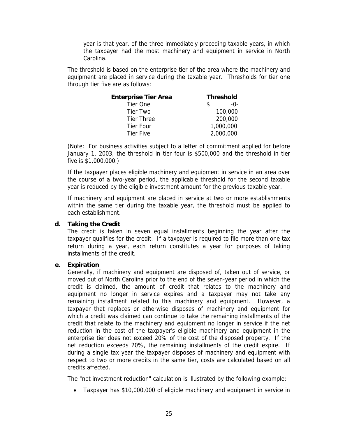year is that year, of the three immediately preceding taxable years, in which the taxpayer had the most machinery and equipment in service in North Carolina.

The threshold is based on the enterprise tier of the area where the machinery and equipment are placed in service during the taxable year. Thresholds for tier one through tier five are as follows:

| <b>Enterprise Tier Area</b> | <b>Threshold</b> |           |
|-----------------------------|------------------|-----------|
| Tier One                    |                  | $-0-$     |
| Tier Two                    |                  | 100,000   |
| <b>Tier Three</b>           |                  | 200,000   |
| Tier Four                   |                  | 1,000,000 |
| <b>Tier Five</b>            |                  | 2,000,000 |

(Note: For business activities subject to a letter of commitment applied for before January 1, 2003, the threshold in tier four is \$500,000 and the threshold in tier five is \$1,000,000.)

If the taxpayer places eligible machinery and equipment in service in an area over the course of a two-year period, the applicable threshold for the second taxable year is reduced by the eligible investment amount for the previous taxable year.

If machinery and equipment are placed in service at two or more establishments within the same tier during the taxable year, the threshold must be applied to each establishment.

#### **d. Taking the Credit**

The credit is taken in seven equal installments beginning the year after the taxpayer qualifies for the credit. If a taxpayer is required to file more than one tax return during a year, each return constitutes a year for purposes of taking installments of the credit.

#### **e. Expiration**

Generally, if machinery and equipment are disposed of, taken out of service, or moved out of North Carolina prior to the end of the seven-year period in which the credit is claimed, the amount of credit that relates to the machinery and equipment no longer in service expires and a taxpayer may not take any remaining installment related to this machinery and equipment. However, a taxpayer that replaces or otherwise disposes of machinery and equipment for which a credit was claimed can continue to take the remaining installments of the credit that relate to the machinery and equipment no longer in service if the net reduction in the cost of the taxpayer's eligible machinery and equipment in the enterprise tier does not exceed 20% of the cost of the disposed property. If the net reduction exceeds 20%, the remaining installments of the credit expire. If during a single tax year the taxpayer disposes of machinery and equipment with respect to two or more credits in the same tier, costs are calculated based on all credits affected.

The "net investment reduction" calculation is illustrated by the following example:

• Taxpayer has \$10,000,000 of eligible machinery and equipment in service in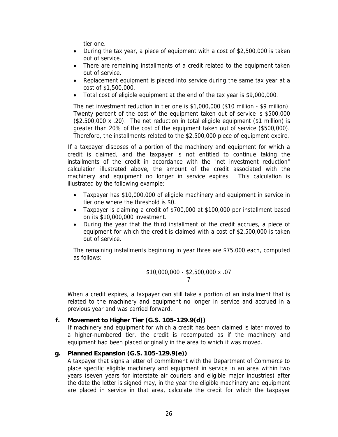tier one.

- During the tax year, a piece of equipment with a cost of \$2,500,000 is taken out of service.
- There are remaining installments of a credit related to the equipment taken out of service.
- Replacement equipment is placed into service during the same tax year at a cost of \$1,500,000.
- Total cost of eligible equipment at the end of the tax year is \$9,000,000.

The net investment reduction in tier one is \$1,000,000 (\$10 million - \$9 million). Twenty percent of the cost of the equipment taken out of service is \$500,000 (\$2,500,000 x .20). The net reduction in total eligible equipment (\$1 million) is greater than 20% of the cost of the equipment taken out of service (\$500,000). Therefore, the installments related to the \$2,500,000 piece of equipment expire.

If a taxpayer disposes of a portion of the machinery and equipment for which a credit is claimed, and the taxpayer is not entitled to continue taking the installments of the credit in accordance with the "net investment reduction" calculation illustrated above, the amount of the credit associated with the machinery and equipment no longer in service expires. This calculation is illustrated by the following example:

- Taxpayer has \$10,000,000 of eligible machinery and equipment in service in tier one where the threshold is \$0.
- Taxpayer is claiming a credit of \$700,000 at \$100,000 per installment based on its \$10,000,000 investment.
- During the year that the third installment of the credit accrues, a piece of equipment for which the credit is claimed with a cost of \$2,500,000 is taken out of service.

The remaining installments beginning in year three are \$75,000 each, computed as follows:

$$
\frac{\$10,000,000 - \$2,500,000 \times .07}{7}
$$

When a credit expires, a taxpayer can still take a portion of an installment that is related to the machinery and equipment no longer in service and accrued in a previous year and was carried forward.

#### **f. Movement to Higher Tier (G.S. 105-129.9(d))**

If machinery and equipment for which a credit has been claimed is later moved to a higher-numbered tier, the credit is recomputed as if the machinery and equipment had been placed originally in the area to which it was moved.

#### **g. Planned Expansion (G.S. 105-129.9(e))**

A taxpayer that signs a letter of commitment with the Department of Commerce to place specific eligible machinery and equipment in service in an area within two years (seven years for interstate air couriers and eligible major industries) after the date the letter is signed may, in the year the eligible machinery and equipment are placed in service in that area, calculate the credit for which the taxpayer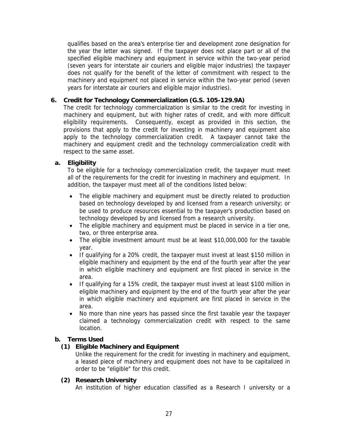qualifies based on the area's enterprise tier and development zone designation for the year the letter was signed. If the taxpayer does not place part or all of the specified eligible machinery and equipment in service within the two-year period (seven years for interstate air couriers and eligible major industries) the taxpayer does not qualify for the benefit of the letter of commitment with respect to the machinery and equipment not placed in service within the two-year period (seven years for interstate air couriers and eligible major industries).

### **6. Credit for Technology Commercialization (G.S. 105-129.9A)**

The credit for technology commercialization is similar to the credit for investing in machinery and equipment, but with higher rates of credit, and with more difficult eligibility requirements. Consequently, except as provided in this section, the provisions that apply to the credit for investing in machinery and equipment also apply to the technology commercialization credit. A taxpayer cannot take the machinery and equipment credit and the technology commercialization credit with respect to the same asset.

### **a. Eligibility**

To be eligible for a technology commercialization credit, the taxpayer must meet all of the requirements for the credit for investing in machinery and equipment. In addition, the taxpayer must meet all of the conditions listed below:

- The eligible machinery and equipment must be directly related to production based on technology developed by and licensed from a research university; or be used to produce resources essential to the taxpayer's production based on technology developed by and licensed from a research university.
- The eligible machinery and equipment must be placed in service in a tier one, two, or three enterprise area.
- The eligible investment amount must be at least \$10,000,000 for the taxable year.
- If qualifying for a 20% credit, the taxpayer must invest at least \$150 million in eligible machinery and equipment by the end of the fourth year after the year in which eligible machinery and equipment are first placed in service in the area.
- If qualifying for a 15% credit, the taxpayer must invest at least \$100 million in eligible machinery and equipment by the end of the fourth year after the year in which eligible machinery and equipment are first placed in service in the area.
- No more than nine years has passed since the first taxable year the taxpayer claimed a technology commercialization credit with respect to the same location.

#### **b. Terms Used**

## **(1) Eligible Machinery and Equipment**

Unlike the requirement for the credit for investing in machinery and equipment, a leased piece of machinery and equipment does not have to be capitalized in order to be "eligible" for this credit.

#### **(2) Research University**

An institution of higher education classified as a Research I university or a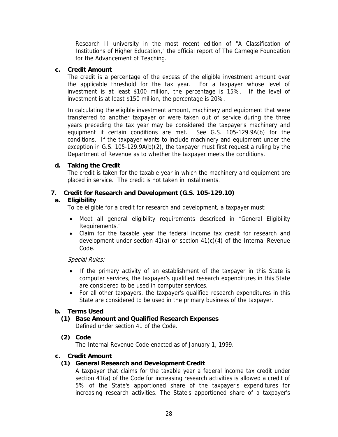Research II university in the most recent edition of "A Classification of Institutions of Higher Education," the official report of The Carnegie Foundation for the Advancement of Teaching.

#### **c. Credit Amount**

The credit is a percentage of the excess of the eligible investment amount over the applicable threshold for the tax year. For a taxpayer whose level of investment is at least \$100 million, the percentage is 15%. If the level of investment is at least \$150 million, the percentage is 20%.

In calculating the eligible investment amount, machinery and equipment that were transferred to another taxpayer or were taken out of service during the three years preceding the tax year may be considered the taxpayer's machinery and equipment if certain conditions are met. See G.S. 105-129.9A(b) for the conditions. If the taxpayer wants to include machinery and equipment under the exception in G.S. 105-129.9A(b)(2), the taxpayer must first request a ruling by the Department of Revenue as to whether the taxpayer meets the conditions.

#### **d. Taking the Credit**

The credit is taken for the taxable year in which the machinery and equipment are placed in service. The credit is not taken in installments.

#### **7. Credit for Research and Development (G.S. 105-129.10)**

#### **a. Eligibility**

To be eligible for a credit for research and development, a taxpayer must:

- Meet all general eligibility requirements described in "General Eligibility Requirements."
- Claim for the taxable year the federal income tax credit for research and development under section  $41(a)$  or section  $41(c)(4)$  of the Internal Revenue Code.

#### Special Rules:

- If the primary activity of an establishment of the taxpayer in this State is computer services, the taxpayer's qualified research expenditures in this State are considered to be used in computer services.
- For all other taxpayers, the taxpayer's qualified research expenditures in this State are considered to be used in the primary business of the taxpayer.

#### **b. Terms Used**

#### **(1) Base Amount and Qualified Research Expenses** Defined under section 41 of the Code.

#### **(2) Code**

The Internal Revenue Code enacted as of January 1, 1999.

#### **c. Credit Amount**

#### **(1) General Research and Development Credit**

A taxpayer that claims for the taxable year a federal income tax credit under section 41(a) of the Code for increasing research activities is allowed a credit of 5% of the State's apportioned share of the taxpayer's expenditures for increasing research activities. The State's apportioned share of a taxpayer's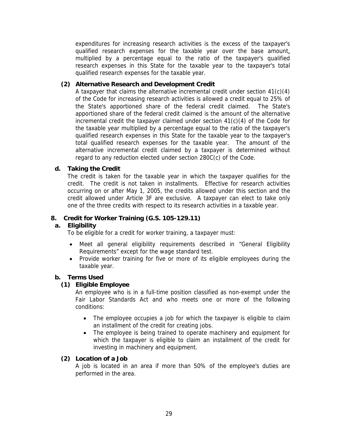expenditures for increasing research activities is the excess of the taxpayer's qualified research expenses for the taxable year over the base amount, multiplied by a percentage equal to the ratio of the taxpayer's qualified research expenses in this State for the taxable year to the taxpayer's total qualified research expenses for the taxable year.

#### **(2) Alternative Research and Development Credit**

A taxpayer that claims the alternative incremental credit under section 41(c)(4) of the Code for increasing research activities is allowed a credit equal to 25% of the State's apportioned share of the federal credit claimed. The State's apportioned share of the federal credit claimed is the amount of the alternative incremental credit the taxpayer claimed under section 41(c)(4) of the Code for the taxable year multiplied by a percentage equal to the ratio of the taxpayer's qualified research expenses in this State for the taxable year to the taxpayer's total qualified research expenses for the taxable year. The amount of the alternative incremental credit claimed by a taxpayer is determined without regard to any reduction elected under section 280C(c) of the Code.

#### **d. Taking the Credit**

The credit is taken for the taxable year in which the taxpayer qualifies for the credit. The credit is not taken in installments. Effective for research activities occurring on or after May 1, 2005, the credits allowed under this section and the credit allowed under Article 3F are exclusive. A taxpayer can elect to take only one of the three credits with respect to its research activities in a taxable year.

#### **8. Credit for Worker Training (G.S. 105-129.11)**

#### **a. Eligibility**

To be eligible for a credit for worker training, a taxpayer must:

- Meet all general eligibility requirements described in "General Eligibility Requirements" except for the wage standard test.
- Provide worker training for five or more of its eligible employees during the taxable year.

#### **b. Terms Used**

#### **(1) Eligible Employee**

An employee who is in a full-time position classified as non-exempt under the Fair Labor Standards Act and who meets one or more of the following conditions:

- The employee occupies a job for which the taxpayer is eligible to claim an installment of the credit for creating jobs.
- The employee is being trained to operate machinery and equipment for which the taxpayer is eligible to claim an installment of the credit for investing in machinery and equipment.

#### **(2) Location of a Job**

A job is located in an area if more than 50% of the employee's duties are performed in the area.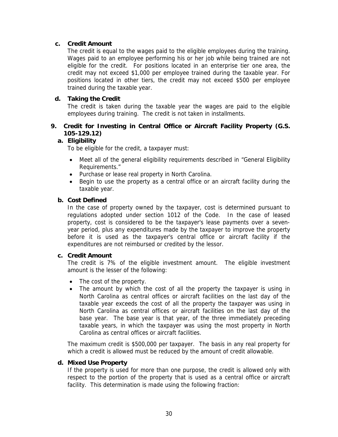### **c. Credit Amount**

The credit is equal to the wages paid to the eligible employees during the training. Wages paid to an employee performing his or her job while being trained are not eligible for the credit. For positions located in an enterprise tier one area, the credit may not exceed \$1,000 per employee trained during the taxable year. For positions located in other tiers, the credit may not exceed \$500 per employee trained during the taxable year.

### **d. Taking the Credit**

The credit is taken during the taxable year the wages are paid to the eligible employees during training. The credit is not taken in installments.

## **9. Credit for Investing in Central Office or Aircraft Facility Property (G.S. 105-129.12)**

### **a. Eligibility**

To be eligible for the credit, a taxpayer must:

- Meet all of the general eligibility requirements described in "General Eligibility Requirements."
- Purchase or lease real property in North Carolina.
- Begin to use the property as a central office or an aircraft facility during the taxable year.

#### **b. Cost Defined**

In the case of property owned by the taxpayer, cost is determined pursuant to regulations adopted under section 1012 of the Code. In the case of leased property, cost is considered to be the taxpayer's lease payments over a sevenyear period, plus any expenditures made by the taxpayer to improve the property before it is used as the taxpayer's central office or aircraft facility if the expenditures are not reimbursed or credited by the lessor.

#### **c. Credit Amount**

The credit is 7% of the eligible investment amount. The eligible investment amount is the lesser of the following:

- The cost of the property.
- The amount by which the cost of all the property the taxpayer is using in North Carolina as central offices or aircraft facilities on the last day of the taxable year exceeds the cost of all the property the taxpayer was using in North Carolina as central offices or aircraft facilities on the last day of the base year. The base year is that year, of the three immediately preceding taxable years, in which the taxpayer was using the most property in North Carolina as central offices or aircraft facilities.

The maximum credit is \$500,000 per taxpayer. The basis in any real property for which a credit is allowed must be reduced by the amount of credit allowable.

#### **d. Mixed Use Property**

If the property is used for more than one purpose, the credit is allowed only with respect to the portion of the property that is used as a central office or aircraft facility. This determination is made using the following fraction: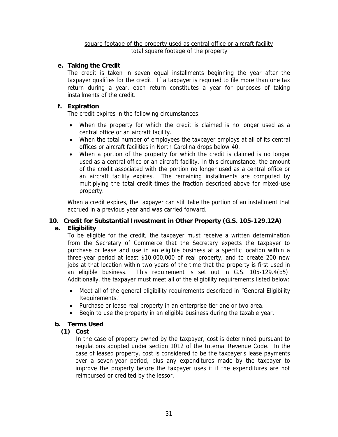#### square footage of the property used as central office or aircraft facility total square footage of the property

### **e. Taking the Credit**

The credit is taken in seven equal installments beginning the year after the taxpayer qualifies for the credit. If a taxpayer is required to file more than one tax return during a year, each return constitutes a year for purposes of taking installments of the credit.

#### **f. Expiration**

The credit expires in the following circumstances:

- When the property for which the credit is claimed is no longer used as a central office or an aircraft facility.
- When the total number of employees the taxpayer employs at all of its central offices or aircraft facilities in North Carolina drops below 40.
- When a portion of the property for which the credit is claimed is no longer used as a central office or an aircraft facility. In this circumstance, the amount of the credit associated with the portion no longer used as a central office or an aircraft facility expires. The remaining installments are computed by multiplying the total credit times the fraction described above for mixed-use property.

When a credit expires, the taxpayer can still take the portion of an installment that accrued in a previous year and was carried forward.

## **10. Credit for Substantial Investment in Other Property (G.S. 105-129.12A)**

## **a. Eligibility**

To be eligible for the credit, the taxpayer must receive a written determination from the Secretary of Commerce that the Secretary expects the taxpayer to purchase or lease and use in an eligible business at a specific location within a three-year period at least \$10,000,000 of real property, and to create 200 new jobs at that location within two years of the time that the property is first used in an eligible business. This requirement is set out in G.S. 105-129.4(b5). Additionally, the taxpayer must meet all of the eligibility requirements listed below:

- Meet all of the general eligibility requirements described in "General Eligibility Requirements."
- Purchase or lease real property in an enterprise tier one or two area.
- Begin to use the property in an eligible business during the taxable year.

## **b. Terms Used**

## **(1) Cost**

In the case of property owned by the taxpayer, cost is determined pursuant to regulations adopted under section 1012 of the Internal Revenue Code. In the case of leased property, cost is considered to be the taxpayer's lease payments over a seven-year period, plus any expenditures made by the taxpayer to improve the property before the taxpayer uses it if the expenditures are not reimbursed or credited by the lessor.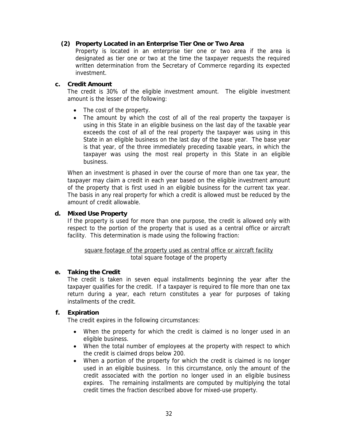#### **(2) Property Located in an Enterprise Tier One or Two Area**

Property is located in an enterprise tier one or two area if the area is designated as tier one or two at the time the taxpayer requests the required written determination from the Secretary of Commerce regarding its expected investment.

#### **c. Credit Amount**

The credit is 30% of the eligible investment amount. The eligible investment amount is the lesser of the following:

- The cost of the property.
- The amount by which the cost of all of the real property the taxpayer is using in this State in an eligible business on the last day of the taxable year exceeds the cost of all of the real property the taxpayer was using in this State in an eligible business on the last day of the base year. The base year is that year, of the three immediately preceding taxable years, in which the taxpayer was using the most real property in this State in an eligible business.

When an investment is phased in over the course of more than one tax year, the taxpayer may claim a credit in each year based on the eligible investment amount of the property that is first used in an eligible business for the current tax year. The basis in any real property for which a credit is allowed must be reduced by the amount of credit allowable.

#### **d. Mixed Use Property**

If the property is used for more than one purpose, the credit is allowed only with respect to the portion of the property that is used as a central office or aircraft facility. This determination is made using the following fraction:

### square footage of the property used as central office or aircraft facility total square footage of the property

#### **e. Taking the Credit**

The credit is taken in seven equal installments beginning the year after the taxpayer qualifies for the credit. If a taxpayer is required to file more than one tax return during a year, each return constitutes a year for purposes of taking installments of the credit.

## **f. Expiration**

The credit expires in the following circumstances:

- When the property for which the credit is claimed is no longer used in an eligible business.
- When the total number of employees at the property with respect to which the credit is claimed drops below 200.
- When a portion of the property for which the credit is claimed is no longer used in an eligible business. In this circumstance, only the amount of the credit associated with the portion no longer used in an eligible business expires. The remaining installments are computed by multiplying the total credit times the fraction described above for mixed-use property.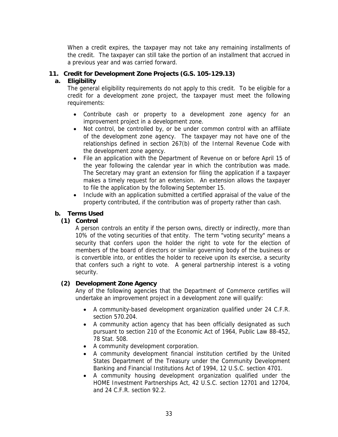When a credit expires, the taxpayer may not take any remaining installments of the credit. The taxpayer can still take the portion of an installment that accrued in a previous year and was carried forward.

## **11. Credit for Development Zone Projects (G.S. 105-129.13)**

## **a. Eligibility**

The general eligibility requirements do not apply to this credit. To be eligible for a credit for a development zone project, the taxpayer must meet the following requirements:

- Contribute cash or property to a development zone agency for an improvement project in a development zone.
- Not control, be controlled by, or be under common control with an affiliate of the development zone agency. The taxpayer may not have one of the relationships defined in section 267(b) of the Internal Revenue Code with the development zone agency.
- File an application with the Department of Revenue on or before April 15 of the year following the calendar year in which the contribution was made. The Secretary may grant an extension for filing the application if a taxpayer makes a timely request for an extension. An extension allows the taxpayer to file the application by the following September 15.
- Include with an application submitted a certified appraisal of the value of the property contributed, if the contribution was of property rather than cash.

### **b. Terms Used**

## **(1) Control**

A person controls an entity if the person owns, directly or indirectly, more than 10% of the voting securities of that entity. The term "voting security" means a security that confers upon the holder the right to vote for the election of members of the board of directors or similar governing body of the business or is convertible into, or entitles the holder to receive upon its exercise, a security that confers such a right to vote. A general partnership interest is a voting security.

## **(2) Development Zone Agency**

Any of the following agencies that the Department of Commerce certifies will undertake an improvement project in a development zone will qualify:

- A community-based development organization qualified under 24 C.F.R. section 570.204.
- A community action agency that has been officially designated as such pursuant to section 210 of the Economic Act of 1964, Public Law 88-452, 78 Stat. 508.
- A community development corporation.
- A community development financial institution certified by the United States Department of the Treasury under the Community Development Banking and Financial Institutions Act of 1994, 12 U.S.C. section 4701.
- A community housing development organization qualified under the HOME Investment Partnerships Act, 42 U.S.C. section 12701 and 12704, and 24 C.F.R. section 92.2.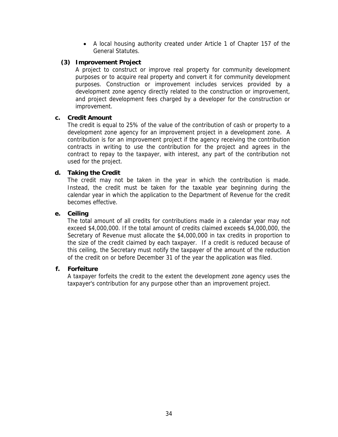• A local housing authority created under Article 1 of Chapter 157 of the General Statutes.

#### **(3) Improvement Project**

A project to construct or improve real property for community development purposes or to acquire real property and convert it for community development purposes. Construction or improvement includes services provided by a development zone agency directly related to the construction or improvement, and project development fees charged by a developer for the construction or improvement.

### **c. Credit Amount**

The credit is equal to 25% of the value of the contribution of cash or property to a development zone agency for an improvement project in a development zone. A contribution is for an improvement project if the agency receiving the contribution contracts in writing to use the contribution for the project and agrees in the contract to repay to the taxpayer, with interest, any part of the contribution not used for the project.

### **d. Taking the Credit**

The credit may not be taken in the year in which the contribution is made. Instead, the credit must be taken for the taxable year beginning during the calendar year in which the application to the Department of Revenue for the credit becomes effective.

### **e. Ceiling**

The total amount of all credits for contributions made in a calendar year may not exceed \$4,000,000. If the total amount of credits claimed exceeds \$4,000,000, the Secretary of Revenue must allocate the \$4,000,000 in tax credits in proportion to the size of the credit claimed by each taxpayer. If a credit is reduced because of this ceiling, the Secretary must notify the taxpayer of the amount of the reduction of the credit on or before December 31 of the year the application was filed.

#### **f. Forfeiture**

A taxpayer forfeits the credit to the extent the development zone agency uses the taxpayer's contribution for any purpose other than an improvement project.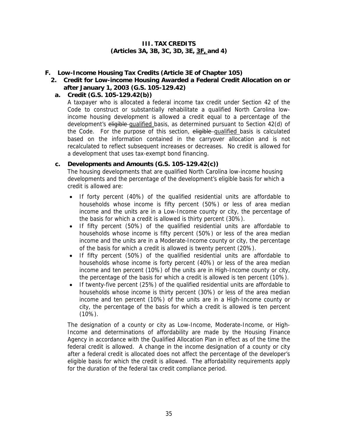#### **III. TAX CREDITS (Articles 3A, 3B, 3C, 3D, 3E, 3F, and 4)**

#### <span id="page-37-0"></span>**F. Low-Income Housing Tax Credits (Article 3E of Chapter 105)**

#### **2. Credit for Low-income Housing Awarded a Federal Credit Allocation on or after January 1, 2003 (G.S. 105-129.42)**

## **a. Credit (G.S. 105-129.42(b))**

A taxpayer who is allocated a federal income tax credit under Section 42 of the Code to construct or substantially rehabilitate a qualified North Carolina lowincome housing development is allowed a credit equal to a percentage of the development's eligible-qualified basis, as determined pursuant to Section 42(d) of the Code. For the purpose of this section, eligible qualified basis is calculated based on the information contained in the carryover allocation and is not recalculated to reflect subsequent increases or decreases. No credit is allowed for a development that uses tax-exempt bond financing.

#### **c. Developments and Amounts (G.S. 105-129.42(c))**

The housing developments that are qualified North Carolina low-income housing developments and the percentage of the development's eligible basis for which a credit is allowed are:

- If forty percent (40%) of the qualified residential units are affordable to households whose income is fifty percent (50%) or less of area median income and the units are in a Low-Income county or city, the percentage of the basis for which a credit is allowed is thirty percent (30%).
- If fifty percent (50%) of the qualified residential units are affordable to households whose income is fifty percent (50%) or less of the area median income and the units are in a Moderate-Income county or city, the percentage of the basis for which a credit is allowed is twenty percent (20%).
- If fifty percent (50%) of the qualified residential units are affordable to households whose income is forty percent (40%) or less of the area median income and ten percent (10%) of the units are in High-Income county or city, the percentage of the basis for which a credit is allowed is ten percent (10%).
- If twenty-five percent (25%) of the qualified residential units are affordable to households whose income is thirty percent (30%) or less of the area median income and ten percent (10%) of the units are in a High-Income county or city, the percentage of the basis for which a credit is allowed is ten percent (10%).

The designation of a county or city as Low-Income, Moderate-Income, or High-Income and determinations of affordability are made by the Housing Finance Agency in accordance with the Qualified Allocation Plan in effect as of the time the federal credit is allowed. A change in the income designation of a county or city after a federal credit is allocated does not affect the percentage of the developer's eligible basis for which the credit is allowed. The affordability requirements apply for the duration of the federal tax credit compliance period.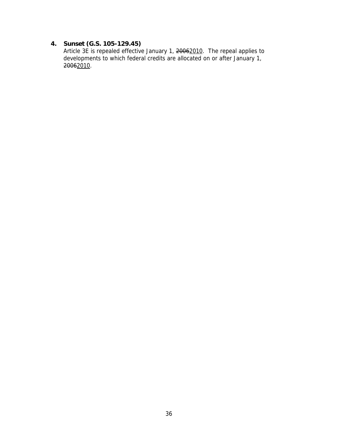## **4. Sunset (G.S. 105-129.45)**

Article 3E is repealed effective January 1, 20062010. The repeal applies to developments to which federal credits are allocated on or after January 1, 20062010.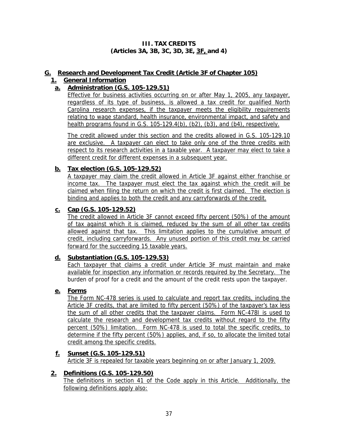### **III. TAX CREDITS (Articles 3A, 3B, 3C, 3D, 3E, 3F, and 4)**

## <span id="page-39-0"></span>**G. Research and Development Tax Credit (Article 3F of Chapter 105)**

## **1. General Information**

## **a. Administration (G.S. 105-129.51)**

Effective for business activities occurring on or after May 1, 2005, any taxpayer, regardless of its type of business, is allowed a tax credit for qualified North Carolina research expenses, if the taxpayer meets the eligibility requirements relating to wage standard, health insurance, environmental impact, and safety and health programs found in G.S. 105-129.4(b), (b2), (b3), and (b4), respectively.

The credit allowed under this section and the credits allowed in G.S. 105-129.10 are exclusive. A taxpayer can elect to take only one of the three credits with respect to its research activities in a taxable year. A taxpayer may elect to take a different credit for different expenses in a subsequent year.

## **b. Tax election (G.S. 105-129.52)**

A taxpayer may claim the credit allowed in Article 3F against either franchise or income tax. The taxpayer must elect the tax against which the credit will be claimed when filing the return on which the credit is first claimed. The election is binding and applies to both the credit and any carryforwards of the credit.

## **c. Cap (G.S. 105-129.52)**

The credit allowed in Article 3F cannot exceed fifty percent (50%) of the amount of tax against which it is claimed, reduced by the sum of all other tax credits allowed against that tax. This limitation applies to the cumulative amount of credit, including carryforwards. Any unused portion of this credit may be carried forward for the succeeding 15 taxable years.

## **d. Substantiation (G.S. 105-129.53)**

Each taxpayer that claims a credit under Article 3F must maintain and make available for inspection any information or records required by the Secretary. The burden of proof for a credit and the amount of the credit rests upon the taxpayer.

## **e. Forms**

The Form NC-478 series is used to calculate and report tax credits, including the Article 3F credits, that are limited to fifty percent (50%) of the taxpayer's tax less the sum of all other credits that the taxpayer claims. Form NC-478I is used to calculate the research and development tax credits without regard to the fifty percent (50%) limitation. Form NC-478 is used to total the specific credits, to determine if the fifty percent (50%) applies, and, if so, to allocate the limited total credit among the specific credits.

**f. Sunset (G.S. 105-129.51)** Article 3F is repealed for taxable years beginning on or after January 1, 2009.

## **2. Definitions (G.S. 105-129.50)**

The definitions in section 41 of the Code apply in this Article. Additionally, the following definitions apply also: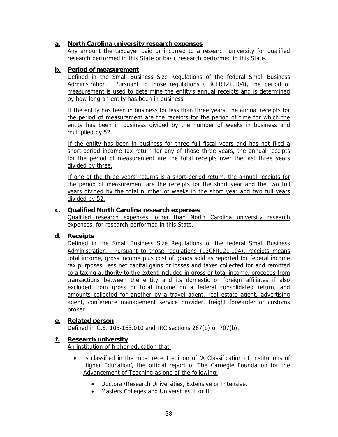## **a. North Carolina university research expenses**

Any amount the taxpayer paid or incurred to a research university for qualified research performed in this State or basic research performed in this State.

## **b. Period of measurement**

Defined in the Small Business Size Regulations of the federal Small Business Administration. Pursuant to those regulations (13CFR121.104), the period of measurement is used to determine the entity's annual receipts and is determined by how long an entity has been in business.

If the entity has been in business for less than three years, the annual receipts for the period of measurement are the receipts for the period of time for which the entity has been in business divided by the number of weeks in business and multiplied by 52.

If the entity has been in business for three full fiscal years and has not filed a short-period income tax return for any of those three years, the annual receipts for the period of measurement are the total receipts over the last three years divided by three.

If one of the three years' returns is a short-period return, the annual receipts for the period of measurement are the receipts for the short year and the two full years divided by the total number of weeks in the short year and two full years divided by 52.

## **c. Qualified North Carolina research expenses**

Qualified research expenses, other than North Carolina university research expenses, for research performed in this State.

## **d. Receipts**

Defined in the Small Business Size Regulations of the federal Small Business Administration. Pursuant to those regulations (13CFR121.104), receipts means total income, gross income plus cost of goods sold as reported for federal income tax purposes, less net capital gains or losses and taxes collected for and remitted to a taxing authority to the extent included in gross or total income, proceeds from transactions between the entity and its domestic or foreign affiliates if also excluded from gross or total income on a federal consolidated return, and amounts collected for another by a travel agent, real estate agent, advertising agent, conference management service provider, freight forwarder or customs broker.

## **e. Related person**

Defined in G.S. 105-163.010 and IRC sections 267(b) or 707(b).

## **f. Research university**

An institution of higher education that:

- Is classified in the most recent edition of 'A Classification of Institutions of Higher Education', the official report of The Carnegie Foundation for the Advancement of Teaching as one of the following:
	- Doctoral/Research Universities, Extensive or Intensive.
	- Masters Colleges and Universities, I or II.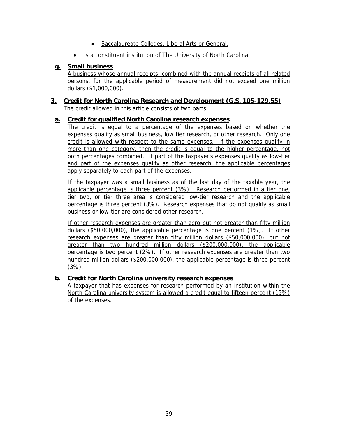- Baccalaureate Colleges, Liberal Arts or General.
- Is a constituent institution of The University of North Carolina.

## **g. Small business**

A business whose annual receipts, combined with the annual receipts of all related persons, for the applicable period of measurement did not exceed one million dollars (\$1,000,000).

#### **3. Credit for North Carolina Research and Development (G.S. 105-129.55)** The credit allowed in this article consists of two parts:

### **a. Credit for qualified North Carolina research expenses**

The credit is equal to a percentage of the expenses based on whether the expenses qualify as small business, low tier research, or other research. Only one credit is allowed with respect to the same expenses. If the expenses qualify in more than one category, then the credit is equal to the higher percentage, not both percentages combined. If part of the taxpayer's expenses qualify as low-tier and part of the expenses qualify as other research, the applicable percentages apply separately to each part of the expenses.

If the taxpayer was a small business as of the last day of the taxable year, the applicable percentage is three percent (3%). Research performed in a tier one, tier two, or tier three area is considered low-tier research and the applicable percentage is three percent (3%). Research expenses that do not qualify as small business or low-tier are considered other research.

If other research expenses are greater than zero but not greater than fifty million dollars (\$50,000,000), the applicable percentage is one percent (1%). If other research expenses are greater than fifty million dollars (\$50,000,000), but not greater than two hundred million dollars (\$200,000,000), the applicable percentage is two percent (2%). If other research expenses are greater than two hundred million dollars (\$200,000,000), the applicable percentage is three percent (3%).

#### **b. Credit for North Carolina university research expenses**

A taxpayer that has expenses for research performed by an institution within the North Carolina university system is allowed a credit equal to fifteen percent (15%) of the expenses.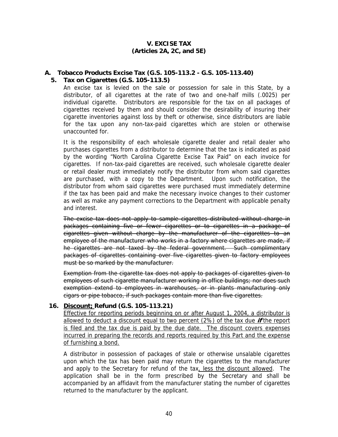#### **V. EXCISE TAX (Articles 2A, 2C, and 5E)**

## <span id="page-42-0"></span>**A. Tobacco Products Excise Tax (G.S. 105-113.2 - G.S. 105-113.40)**

#### **5. Tax on Cigarettes (G.S. 105-113.5)**

An excise tax is levied on the sale or possession for sale in this State, by a distributor, of all cigarettes at the rate of two and one-half mills (.0025) per individual cigarette. Distributors are responsible for the tax on all packages of cigarettes received by them and should consider the desirability of insuring their cigarette inventories against loss by theft or otherwise, since distributors are liable for the tax upon any non-tax-paid cigarettes which are stolen or otherwise unaccounted for.

It is the responsibility of each wholesale cigarette dealer and retail dealer who purchases cigarettes from a distributor to determine that the tax is indicated as paid by the wording "North Carolina Cigarette Excise Tax Paid" on each invoice for cigarettes. If non-tax-paid cigarettes are received, such wholesale cigarette dealer or retail dealer must immediately notify the distributor from whom said cigarettes are purchased, with a copy to the Department. Upon such notification, the distributor from whom said cigarettes were purchased must immediately determine if the tax has been paid and make the necessary invoice changes to their customer as well as make any payment corrections to the Department with applicable penalty and interest.

The excise tax does not apply to sample cigarettes distributed without charge in packages containing five or fewer cigarettes or to cigarettes in a package of cigarettes given without charge by the manufacturer of the cigarettes to an employee of the manufacturer who works in a factory where cigarettes are made, if he cigarettes are not taxed by the federal government. Such complimentary packages of cigarettes containing over five cigarettes given to factory employees must be so marked by the manufacturer.

Exemption from the cigarette tax does not apply to packages of cigarettes given to employees of such cigarette manufacturer working in office buildings; nor does such exemption extend to employees in warehouses, or in plants manufacturing only cigars or pipe tobacco, if such packages contain more than five cigarettes.

#### **16. Discount; Refund (G.S. 105-113.21)**

Effective for reporting periods beginning on or after August 1, 2004, a distributor is allowed to deduct a discount equal to two percent (2%) of the tax due **if** the report is filed and the tax due is paid by the due date. The discount covers expenses incurred in preparing the records and reports required by this Part and the expense of furnishing a bond.

A distributor in possession of packages of stale or otherwise unsalable cigarettes upon which the tax has been paid may return the cigarettes to the manufacturer and apply to the Secretary for refund of the tax, less the discount allowed. The application shall be in the form prescribed by the Secretary and shall be accompanied by an affidavit from the manufacturer stating the number of cigarettes returned to the manufacturer by the applicant.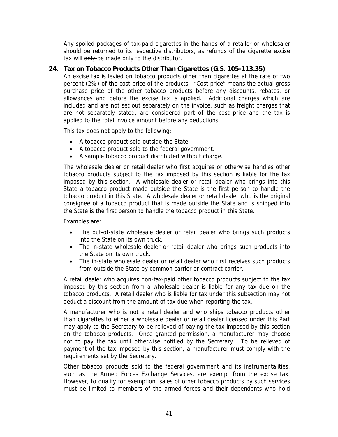Any spoiled packages of tax-paid cigarettes in the hands of a retailer or wholesaler should be returned to its respective distributors, as refunds of the cigarette excise tax will only be made only to the distributor.

### **24. Tax on Tobacco Products Other Than Cigarettes (G.S. 105-113.35)**

An excise tax is levied on tobacco products other than cigarettes at the rate of two percent (2%) of the cost price of the products. "Cost price" means the actual gross purchase price of the other tobacco products before any discounts, rebates, or allowances and before the excise tax is applied. Additional charges which are included and are not set out separately on the invoice, such as freight charges that are not separately stated, are considered part of the cost price and the tax is applied to the total invoice amount before any deductions.

This tax does not apply to the following:

- A tobacco product sold outside the State.
- A tobacco product sold to the federal government.
- A sample tobacco product distributed without charge.

The wholesale dealer or retail dealer who first acquires or otherwise handles other tobacco products subject to the tax imposed by this section is liable for the tax imposed by this section. A wholesale dealer or retail dealer who brings into this State a tobacco product made outside the State is the first person to handle the tobacco product in this State. A wholesale dealer or retail dealer who is the original consignee of a tobacco product that is made outside the State and is shipped into the State is the first person to handle the tobacco product in this State.

Examples are:

- The out-of-state wholesale dealer or retail dealer who brings such products into the State on its own truck.
- The in-state wholesale dealer or retail dealer who brings such products into the State on its own truck.
- The in-state wholesale dealer or retail dealer who first receives such products from outside the State by common carrier or contract carrier.

A retail dealer who acquires non-tax-paid other tobacco products subject to the tax imposed by this section from a wholesale dealer is liable for any tax due on the tobacco products. A retail dealer who is liable for tax under this subsection may not deduct a discount from the amount of tax due when reporting the tax.

A manufacturer who is not a retail dealer and who ships tobacco products other than cigarettes to either a wholesale dealer or retail dealer licensed under this Part may apply to the Secretary to be relieved of paying the tax imposed by this section on the tobacco products. Once granted permission, a manufacturer may choose not to pay the tax until otherwise notified by the Secretary. To be relieved of payment of the tax imposed by this section, a manufacturer must comply with the requirements set by the Secretary.

Other tobacco products sold to the federal government and its instrumentalities, such as the Armed Forces Exchange Services, are exempt from the excise tax. However, to qualify for exemption, sales of other tobacco products by such services must be limited to members of the armed forces and their dependents who hold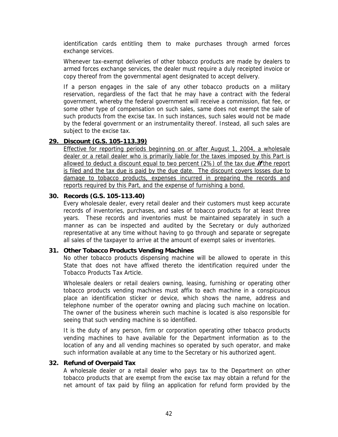identification cards entitling them to make purchases through armed forces exchange services.

Whenever tax-exempt deliveries of other tobacco products are made by dealers to armed forces exchange services, the dealer must require a duly receipted invoice or copy thereof from the governmental agent designated to accept delivery.

If a person engages in the sale of any other tobacco products on a military reservation, regardless of the fact that he may have a contract with the federal government, whereby the federal government will receive a commission, flat fee, or some other type of compensation on such sales, same does not exempt the sale of such products from the excise tax. In such instances, such sales would not be made by the federal government or an instrumentality thereof. Instead, all such sales are subject to the excise tax.

#### **29. Discount (G.S. 105-113.39)**

Effective for reporting periods beginning on or after August 1, 2004, a wholesale dealer or a retail dealer who is primarily liable for the taxes imposed by this Part is allowed to deduct a discount equal to two percent (2%) of the tax due **if** the report is filed and the tax due is paid by the due date. The discount covers losses due to damage to tobacco products, expenses incurred in preparing the records and reports required by this Part, and the expense of furnishing a bond.

#### **30. Records (G.S. 105-113.40)**

Every wholesale dealer, every retail dealer and their customers must keep accurate records of inventories, purchases, and sales of tobacco products for at least three years. These records and inventories must be maintained separately in such a manner as can be inspected and audited by the Secretary or duly authorized representative at any time without having to go through and separate or segregate all sales of the taxpayer to arrive at the amount of exempt sales or inventories.

#### **31. Other Tobacco Products Vending Machines**

No other tobacco products dispensing machine will be allowed to operate in this State that does not have affixed thereto the identification required under the Tobacco Products Tax Article.

Wholesale dealers or retail dealers owning, leasing, furnishing or operating other tobacco products vending machines must affix to each machine in a conspicuous place an identification sticker or device, which shows the name, address and telephone number of the operator owning and placing such machine on location. The owner of the business wherein such machine is located is also responsible for seeing that such vending machine is so identified.

It is the duty of any person, firm or corporation operating other tobacco products vending machines to have available for the Department information as to the location of any and all vending machines so operated by such operator, and make such information available at any time to the Secretary or his authorized agent.

#### **32. Refund of Overpaid Tax**

A wholesale dealer or a retail dealer who pays tax to the Department on other tobacco products that are exempt from the excise tax may obtain a refund for the net amount of tax paid by filing an application for refund form provided by the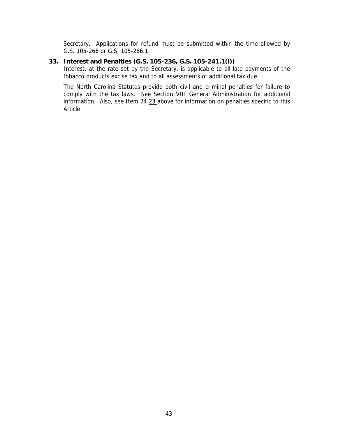Secretary. Applications for refund must be submitted within the time allowed by G.S. 105-266 or G.S. 105-266.1.

#### **33. Interest and Penalties (G.S. 105-236, G.S. 105-241.1(i))**

Interest, at the rate set by the Secretary, is applicable to all late payments of the tobacco products excise tax and to all assessments of additional tax due.

The North Carolina Statutes provide both civil and criminal penalties for failure to comply with the tax laws. See Section VIII General Administration for additional information. Also, see Item  $24-23$  above for information on penalties specific to this Article.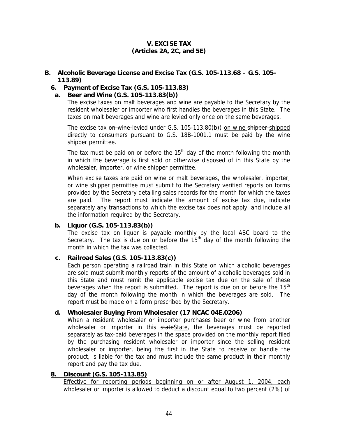### **V. EXCISE TAX (Articles 2A, 2C, and 5E)**

#### <span id="page-46-0"></span>**B. Alcoholic Beverage License and Excise Tax (G.S. 105-113.68 – G.S. 105- 113.89)**

#### **6. Payment of Excise Tax (G.S. 105-113.83)**

#### **a. Beer and Wine (G.S. 105-113.83(b))**

The excise taxes on malt beverages and wine are payable to the Secretary by the resident wholesaler or importer who first handles the beverages in this State. The taxes on malt beverages and wine are levied only once on the same beverages.

The excise tax on wine-levied under G.S. 105-113.80(b)) on wine shipper-shipped directly to consumers pursuant to G.S. 18B-1001.1 must be paid by the wine shipper permittee.

The tax must be paid on or before the  $15<sup>th</sup>$  day of the month following the month in which the beverage is first sold or otherwise disposed of in this State by the wholesaler, importer, or wine shipper permittee.

When excise taxes are paid on wine or malt beverages, the wholesaler, importer, or wine shipper permittee must submit to the Secretary verified reports on forms provided by the Secretary detailing sales records for the month for which the taxes are paid. The report must indicate the amount of excise tax due, indicate separately any transactions to which the excise tax does not apply, and include all the information required by the Secretary.

#### **b. Liquor (G.S. 105-113.83(b))**

The excise tax on liquor is payable monthly by the local ABC board to the Secretary. The tax is due on or before the  $15<sup>th</sup>$  day of the month following the month in which the tax was collected.

#### **c. Railroad Sales (G.S. 105-113.83(c))**

Each person operating a railroad train in this State on which alcoholic beverages are sold must submit monthly reports of the amount of alcoholic beverages sold in this State and must remit the applicable excise tax due on the sale of these beverages when the report is submitted. The report is due on or before the  $15<sup>th</sup>$ day of the month following the month in which the beverages are sold. The report must be made on a form prescribed by the Secretary.

## **d. Wholesaler Buying From Wholesaler (17 NCAC 04E.0206)**

When a resident wholesaler or importer purchases beer or wine from another wholesaler or importer in this stateState, the beverages must be reported separately as tax-paid beverages in the space provided on the monthly report filed by the purchasing resident wholesaler or importer since the selling resident wholesaler or importer, being the first in the State to receive or handle the product, is liable for the tax and must include the same product in their monthly report and pay the tax due.

#### **8. Discount (G.S. 105-113.85)**

Effective for reporting periods beginning on or after August 1, 2004, each wholesaler or importer is allowed to deduct a discount equal to two percent (2%) of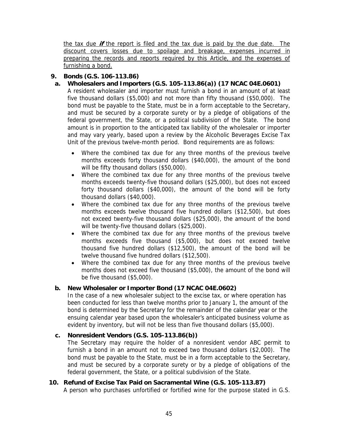the tax due **if** the report is filed and the tax due is paid by the due date. The discount covers losses due to spoilage and breakage, expenses incurred in preparing the records and reports required by this Article, and the expenses of furnishing a bond.

## **9. Bonds (G.S. 106-113.86)**

**a. Wholesalers and Importers (G.S. 105-113.86(a)) (17 NCAC 04E.0601)**

A resident wholesaler and importer must furnish a bond in an amount of at least five thousand dollars (\$5,000) and not more than fifty thousand (\$50,000). The bond must be payable to the State, must be in a form acceptable to the Secretary, and must be secured by a corporate surety or by a pledge of obligations of the federal government, the State, or a political subdivision of the State. The bond amount is in proportion to the anticipated tax liability of the wholesaler or importer and may vary yearly, based upon a review by the Alcoholic Beverages Excise Tax Unit of the previous twelve-month period. Bond requirements are as follows:

- Where the combined tax due for any three months of the previous twelve months exceeds forty thousand dollars (\$40,000), the amount of the bond will be fifty thousand dollars (\$50,000).
- Where the combined tax due for any three months of the previous twelve months exceeds twenty-five thousand dollars (\$25,000), but does not exceed forty thousand dollars (\$40,000), the amount of the bond will be forty thousand dollars (\$40,000).
- Where the combined tax due for any three months of the previous twelve months exceeds twelve thousand five hundred dollars (\$12,500), but does not exceed twenty-five thousand dollars (\$25,000), the amount of the bond will be twenty-five thousand dollars (\$25,000).
- Where the combined tax due for any three months of the previous twelve months exceeds five thousand (\$5,000), but does not exceed twelve thousand five hundred dollars (\$12,500), the amount of the bond will be twelve thousand five hundred dollars (\$12,500).
- Where the combined tax due for any three months of the previous twelve months does not exceed five thousand (\$5,000), the amount of the bond will be five thousand (\$5,000).

## **b. New Wholesaler or Importer Bond (17 NCAC 04E.0602)**

In the case of a new wholesaler subject to the excise tax, or where operation has been conducted for less than twelve months prior to January 1, the amount of the bond is determined by the Secretary for the remainder of the calendar year or the ensuing calendar year based upon the wholesaler's anticipated business volume as evident by inventory, but will not be less than five thousand dollars (\$5,000).

## **c. Nonresident Vendors (G.S. 105-113.86(b))**

The Secretary may require the holder of a nonresident vendor ABC permit to furnish a bond in an amount not to exceed two thousand dollars (\$2,000). The bond must be payable to the State, must be in a form acceptable to the Secretary, and must be secured by a corporate surety or by a pledge of obligations of the federal government, the State, or a political subdivision of the State.

## **10. Refund of Excise Tax Paid on Sacramental Wine (G.S. 105-113.87)**

A person who purchases unfortified or fortified wine for the purpose stated in G.S.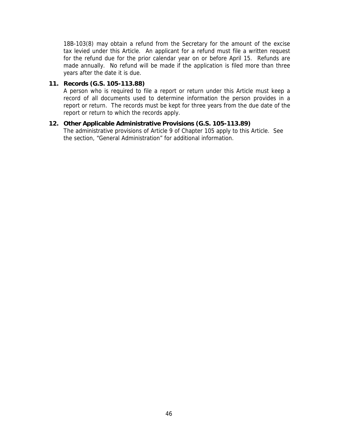18B-103(8) may obtain a refund from the Secretary for the amount of the excise tax levied under this Article. An applicant for a refund must file a written request for the refund due for the prior calendar year on or before April 15. Refunds are made annually. No refund will be made if the application is filed more than three years after the date it is due.

#### **11. Records (G.S. 105-113.88)**

A person who is required to file a report or return under this Article must keep a record of all documents used to determine information the person provides in a report or return. The records must be kept for three years from the due date of the report or return to which the records apply.

### **12. Other Applicable Administrative Provisions (G.S. 105-113.89)**

The administrative provisions of Article 9 of Chapter 105 apply to this Article. See the section, "General Administration" for additional information.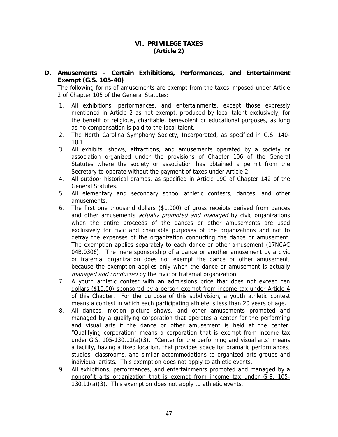#### **VI. PRIVILEGE TAXES (Article 2)**

<span id="page-49-0"></span>**D. Amusements – Certain Exhibitions, Performances, and Entertainment Exempt (G.S. 105-40)** 

The following forms of amusements are exempt from the taxes imposed under Article 2 of Chapter 105 of the General Statutes:

- 1. All exhibitions, performances, and entertainments, except those expressly mentioned in Article 2 as not exempt, produced by local talent exclusively, for the benefit of religious, charitable, benevolent or educational purposes, as long as no compensation is paid to the local talent.
- 2. The North Carolina Symphony Society, Incorporated, as specified in G.S. 140- 10.1.
- 3. All exhibits, shows, attractions, and amusements operated by a society or association organized under the provisions of Chapter 106 of the General Statutes where the society or association has obtained a permit from the Secretary to operate without the payment of taxes under Article 2.
- 4. All outdoor historical dramas, as specified in Article 19C of Chapter 142 of the General Statutes.
- 5. All elementary and secondary school athletic contests, dances, and other amusements.
- 6. The first one thousand dollars (\$1,000) of gross receipts derived from dances and other amusements *actually promoted and managed* by civic organizations when the entire proceeds of the dances or other amusements are used exclusively for civic and charitable purposes of the organizations and not to defray the expenses of the organization conducting the dance or amusement. The exemption applies separately to each dance or other amusement (17NCAC 04B.0306). The mere sponsorship of a dance or another amusement by a civic or fraternal organization does not exempt the dance or other amusement, because the exemption applies only when the dance or amusement is actually managed and conducted by the civic or fraternal organization.
- 7. A youth athletic contest with an admissions price that does not exceed ten dollars (\$10.00) sponsored by a person exempt from income tax under Article 4 of this Chapter. For the purpose of this subdivision, a youth athletic contest means a contest in which each participating athlete is less than 20 years of age.
- 8. All dances, motion picture shows, and other amusements promoted and managed by a qualifying corporation that operates a center for the performing and visual arts if the dance or other amusement is held at the center. "Qualifying corporation" means a corporation that is exempt from income tax under G.S. 105-130.11(a)(3). "Center for the performing and visual arts" means a facility, having a fixed location, that provides space for dramatic performances, studios, classrooms, and similar accommodations to organized arts groups and individual artists. This exemption does not apply to athletic events.
- 9. All exhibitions, performances, and entertainments promoted and managed by a nonprofit arts organization that is exempt from income tax under G.S. 105- 130.11(a)(3). This exemption does not apply to athletic events.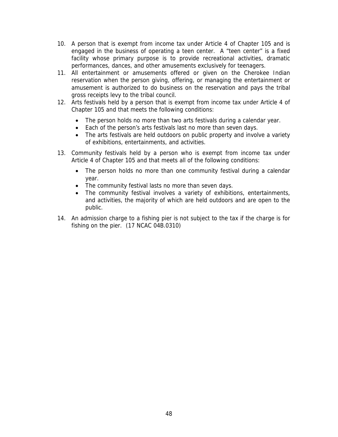- 10. A person that is exempt from income tax under Article 4 of Chapter 105 and is engaged in the business of operating a teen center. A "teen center" is a fixed facility whose primary purpose is to provide recreational activities, dramatic performances, dances, and other amusements exclusively for teenagers.
- 11. All entertainment or amusements offered or given on the Cherokee Indian reservation when the person giving, offering, or managing the entertainment or amusement is authorized to do business on the reservation and pays the tribal gross receipts levy to the tribal council.
- 12. Arts festivals held by a person that is exempt from income tax under Article 4 of Chapter 105 and that meets the following conditions:
	- The person holds no more than two arts festivals during a calendar year.
	- Each of the person's arts festivals last no more than seven days.
	- The arts festivals are held outdoors on public property and involve a variety of exhibitions, entertainments, and activities.
- 13. Community festivals held by a person who is exempt from income tax under Article 4 of Chapter 105 and that meets all of the following conditions:
	- The person holds no more than one community festival during a calendar year.
	- The community festival lasts no more than seven days.
	- The community festival involves a variety of exhibitions, entertainments, and activities, the majority of which are held outdoors and are open to the public.
- 14. An admission charge to a fishing pier is not subject to the tax if the charge is for fishing on the pier. (17 NCAC 04B.0310)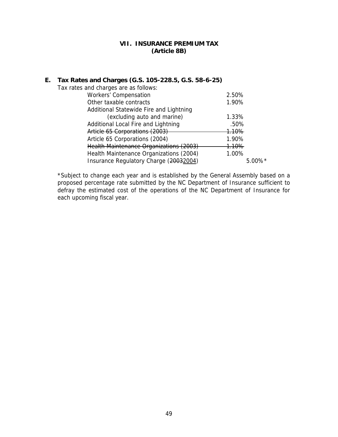#### **VII. INSURANCE PREMIUM TAX (Article 8B)**

## <span id="page-51-0"></span>**E. Tax Rates and Charges (G.S. 105-228.5, G.S. 58-6-25)**

| Tax rates and charges are as follows:   |                       |
|-----------------------------------------|-----------------------|
| <b>Workers' Compensation</b>            | 2.50%                 |
| Other taxable contracts                 | 1.90%                 |
| Additional Statewide Fire and Lightning |                       |
| (excluding auto and marine)             | 1.33%                 |
| Additional Local Fire and Lightning     | .50%                  |
| Article 65 Corporations (2003)          | <del>1.10%</del>      |
| Article 65 Corporations (2004)          | 1.90%                 |
| Health Maintenance Organizations (2003) | <del>1.10%</del>      |
| Health Maintenance Organizations (2004) | 1.00%                 |
| Insurance Regulatory Charge (20032004)  | $5.00\%$ <sup>*</sup> |

\*Subject to change each year and is established by the General Assembly based on a proposed percentage rate submitted by the NC Department of Insurance sufficient to defray the estimated cost of the operations of the NC Department of Insurance for each upcoming fiscal year.